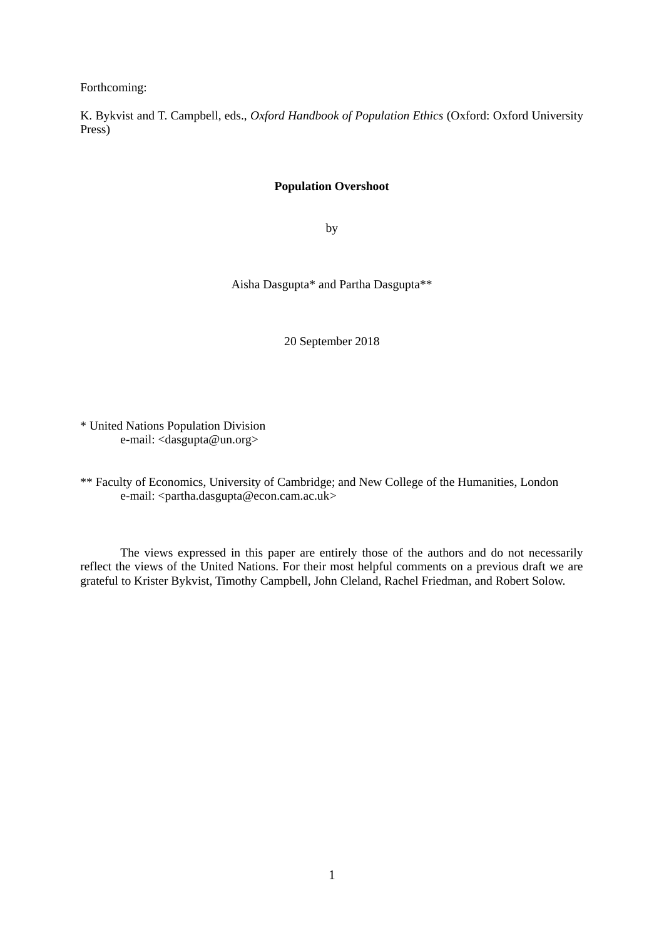Forthcoming:

K. Bykvist and T. Campbell, eds., *Oxford Handbook of Population Ethics* (Oxford: Oxford University Press)

### **Population Overshoot**

by

Aisha Dasgupta\* and Partha Dasgupta\*\*

20 September 2018

\* United Nations Population Division e-mail: <dasgupta@un.org>

\*\* Faculty of Economics, University of Cambridge; and New College of the Humanities, London e-mail: <partha.dasgupta@econ.cam.ac.uk>

The views expressed in this paper are entirely those of the authors and do not necessarily reflect the views of the United Nations. For their most helpful comments on a previous draft we are grateful to Krister Bykvist, Timothy Campbell, John Cleland, Rachel Friedman, and Robert Solow.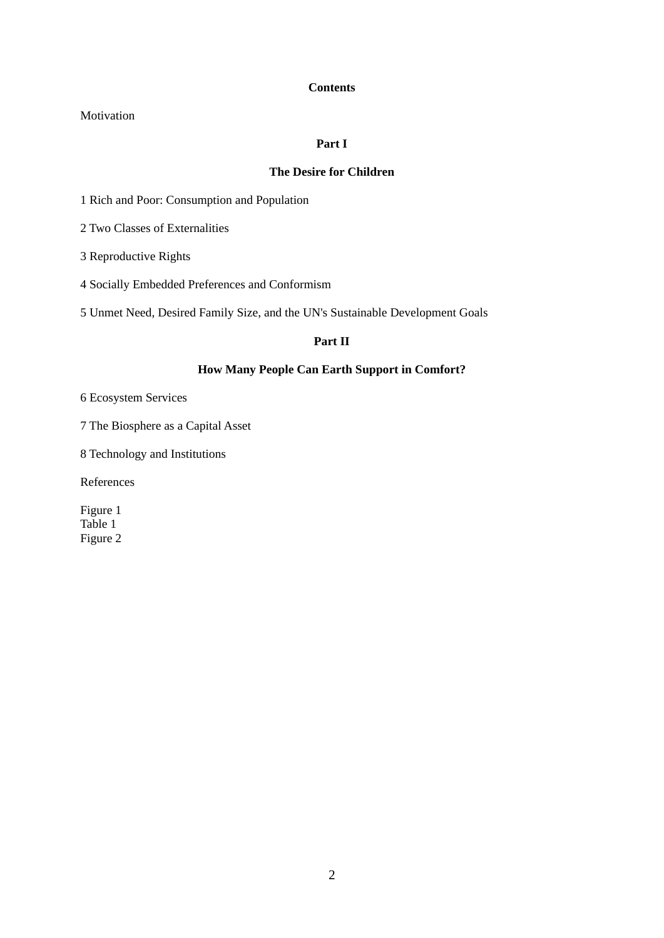### **Contents**

## Motivation

# **Part I**

# **The Desire for Children**

1 Rich and Poor: Consumption and Population

2 Two Classes of Externalities

3 Reproductive Rights

4 Socially Embedded Preferences and Conformism

5 Unmet Need, Desired Family Size, and the UN's Sustainable Development Goals

# **Part II**

## **How Many People Can Earth Support in Comfort?**

6 Ecosystem Services

7 The Biosphere as a Capital Asset

8 Technology and Institutions

References

Figure 1 Table 1 Figure 2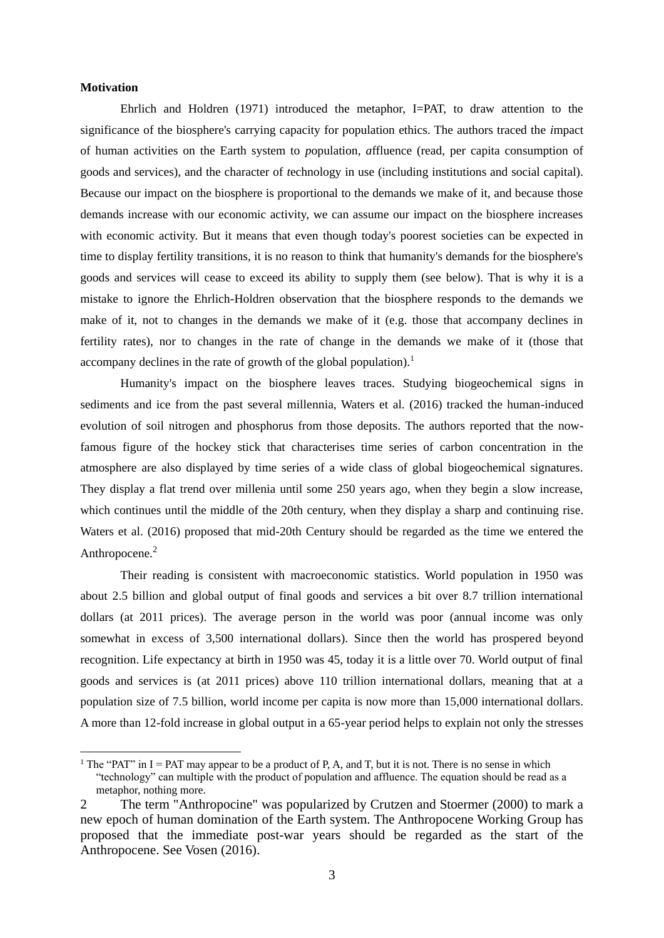#### **Motivation**

1

Ehrlich and Holdren (1971) introduced the metaphor, I=PAT, to draw attention to the significance of the biosphere's carrying capacity for population ethics. The authors traced the *i*mpact of human activities on the Earth system to *p*opulation, *a*ffluence (read, per capita consumption of goods and services), and the character of *t*echnology in use (including institutions and social capital). Because our impact on the biosphere is proportional to the demands we make of it, and because those demands increase with our economic activity, we can assume our impact on the biosphere increases with economic activity. But it means that even though today's poorest societies can be expected in time to display fertility transitions, it is no reason to think that humanity's demands for the biosphere's goods and services will cease to exceed its ability to supply them (see below). That is why it is a mistake to ignore the Ehrlich-Holdren observation that the biosphere responds to the demands we make of it, not to changes in the demands we make of it (e.g. those that accompany declines in fertility rates), nor to changes in the rate of change in the demands we make of it (those that accompany declines in the rate of growth of the global population).<sup>1</sup>

Humanity's impact on the biosphere leaves traces. Studying biogeochemical signs in sediments and ice from the past several millennia, Waters et al. (2016) tracked the human-induced evolution of soil nitrogen and phosphorus from those deposits. The authors reported that the nowfamous figure of the hockey stick that characterises time series of carbon concentration in the atmosphere are also displayed by time series of a wide class of global biogeochemical signatures. They display a flat trend over millenia until some 250 years ago, when they begin a slow increase, which continues until the middle of the 20th century, when they display a sharp and continuing rise. Waters et al. (2016) proposed that mid-20th Century should be regarded as the time we entered the Anthropocene.<sup>2</sup>

Their reading is consistent with macroeconomic statistics. World population in 1950 was about 2.5 billion and global output of final goods and services a bit over 8.7 trillion international dollars (at 2011 prices). The average person in the world was poor (annual income was only somewhat in excess of 3,500 international dollars). Since then the world has prospered beyond recognition. Life expectancy at birth in 1950 was 45, today it is a little over 70. World output of final goods and services is (at 2011 prices) above 110 trillion international dollars, meaning that at a population size of 7.5 billion, world income per capita is now more than 15,000 international dollars. A more than 12-fold increase in global output in a 65-year period helps to explain not only the stresses

<sup>&</sup>lt;sup>1</sup> The "PAT" in I = PAT may appear to be a product of P, A, and T, but it is not. There is no sense in which "technology" can multiple with the product of population and affluence. The equation should be read as a metaphor, nothing more.

<sup>2</sup> The term "Anthropocine" was popularized by Crutzen and Stoermer (2000) to mark a new epoch of human domination of the Earth system. The Anthropocene Working Group has proposed that the immediate post-war years should be regarded as the start of the Anthropocene. See Vosen (2016).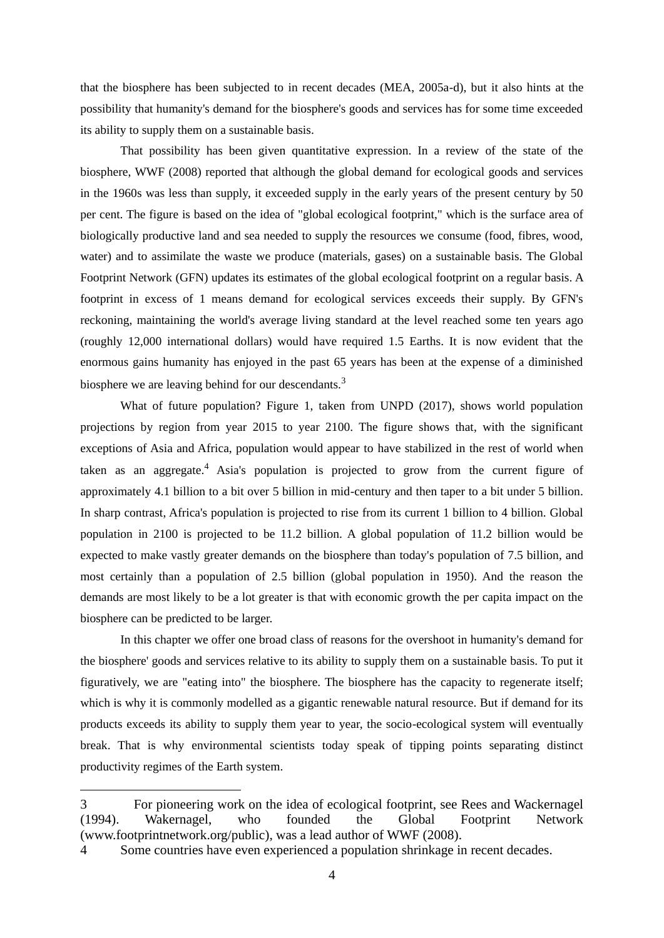that the biosphere has been subjected to in recent decades (MEA, 2005a-d), but it also hints at the possibility that humanity's demand for the biosphere's goods and services has for some time exceeded its ability to supply them on a sustainable basis.

That possibility has been given quantitative expression. In a review of the state of the biosphere, WWF (2008) reported that although the global demand for ecological goods and services in the 1960s was less than supply, it exceeded supply in the early years of the present century by 50 per cent. The figure is based on the idea of "global ecological footprint," which is the surface area of biologically productive land and sea needed to supply the resources we consume (food, fibres, wood, water) and to assimilate the waste we produce (materials, gases) on a sustainable basis. The Global Footprint Network (GFN) updates its estimates of the global ecological footprint on a regular basis. A footprint in excess of 1 means demand for ecological services exceeds their supply. By GFN's reckoning, maintaining the world's average living standard at the level reached some ten years ago (roughly 12,000 international dollars) would have required 1.5 Earths. It is now evident that the enormous gains humanity has enjoyed in the past 65 years has been at the expense of a diminished biosphere we are leaving behind for our descendants.<sup>3</sup>

What of future population? Figure 1, taken from UNPD (2017), shows world population projections by region from year 2015 to year 2100. The figure shows that, with the significant exceptions of Asia and Africa, population would appear to have stabilized in the rest of world when taken as an aggregate.<sup>4</sup> Asia's population is projected to grow from the current figure of approximately 4.1 billion to a bit over 5 billion in mid-century and then taper to a bit under 5 billion. In sharp contrast, Africa's population is projected to rise from its current 1 billion to 4 billion. Global population in 2100 is projected to be 11.2 billion. A global population of 11.2 billion would be expected to make vastly greater demands on the biosphere than today's population of 7.5 billion, and most certainly than a population of 2.5 billion (global population in 1950). And the reason the demands are most likely to be a lot greater is that with economic growth the per capita impact on the biosphere can be predicted to be larger.

In this chapter we offer one broad class of reasons for the overshoot in humanity's demand for the biosphere' goods and services relative to its ability to supply them on a sustainable basis. To put it figuratively, we are "eating into" the biosphere. The biosphere has the capacity to regenerate itself; which is why it is commonly modelled as a gigantic renewable natural resource. But if demand for its products exceeds its ability to supply them year to year, the socio-ecological system will eventually break. That is why environmental scientists today speak of tipping points separating distinct productivity regimes of the Earth system.

1

<sup>3</sup> For pioneering work on the idea of ecological footprint, see Rees and Wackernagel (1994). Wakernagel, who founded the Global Footprint Network (www.footprintnetwork.org/public), was a lead author of WWF (2008).

<sup>4</sup> Some countries have even experienced a population shrinkage in recent decades.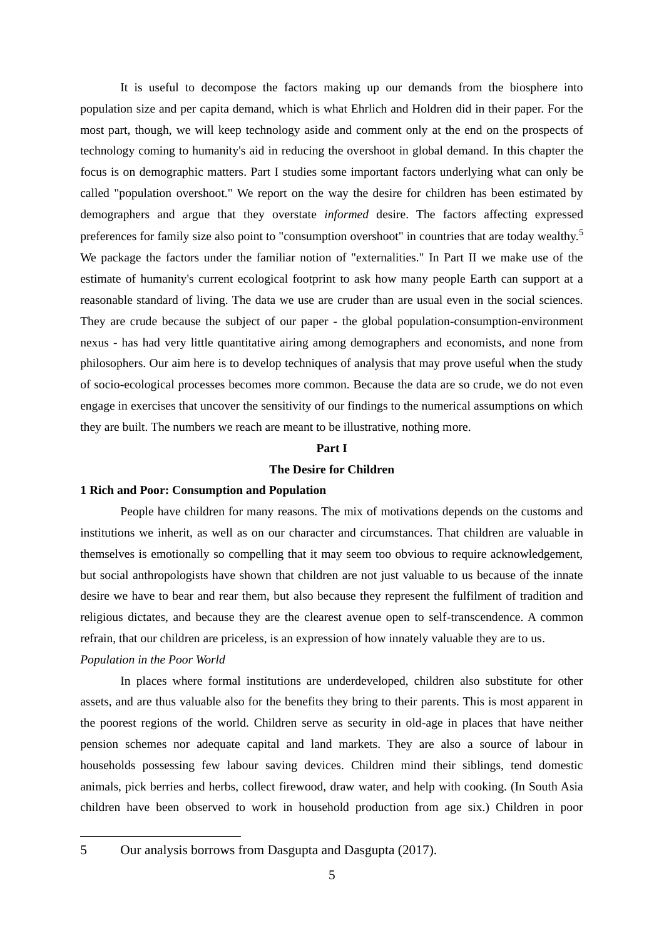It is useful to decompose the factors making up our demands from the biosphere into population size and per capita demand, which is what Ehrlich and Holdren did in their paper. For the most part, though, we will keep technology aside and comment only at the end on the prospects of technology coming to humanity's aid in reducing the overshoot in global demand. In this chapter the focus is on demographic matters. Part I studies some important factors underlying what can only be called "population overshoot." We report on the way the desire for children has been estimated by demographers and argue that they overstate *informed* desire. The factors affecting expressed preferences for family size also point to "consumption overshoot" in countries that are today wealthy.<sup>5</sup> We package the factors under the familiar notion of "externalities." In Part II we make use of the estimate of humanity's current ecological footprint to ask how many people Earth can support at a reasonable standard of living. The data we use are cruder than are usual even in the social sciences. They are crude because the subject of our paper - the global population-consumption-environment nexus - has had very little quantitative airing among demographers and economists, and none from philosophers. Our aim here is to develop techniques of analysis that may prove useful when the study of socio-ecological processes becomes more common. Because the data are so crude, we do not even engage in exercises that uncover the sensitivity of our findings to the numerical assumptions on which they are built. The numbers we reach are meant to be illustrative, nothing more.

## **Part I**

## **The Desire for Children**

#### **1 Rich and Poor: Consumption and Population**

People have children for many reasons. The mix of motivations depends on the customs and institutions we inherit, as well as on our character and circumstances. That children are valuable in themselves is emotionally so compelling that it may seem too obvious to require acknowledgement, but social anthropologists have shown that children are not just valuable to us because of the innate desire we have to bear and rear them, but also because they represent the fulfilment of tradition and religious dictates, and because they are the clearest avenue open to self-transcendence. A common refrain, that our children are priceless, is an expression of how innately valuable they are to us.

#### *Population in the Poor World*

In places where formal institutions are underdeveloped, children also substitute for other assets, and are thus valuable also for the benefits they bring to their parents. This is most apparent in the poorest regions of the world. Children serve as security in old-age in places that have neither pension schemes nor adequate capital and land markets. They are also a source of labour in households possessing few labour saving devices. Children mind their siblings, tend domestic animals, pick berries and herbs, collect firewood, draw water, and help with cooking. (In South Asia children have been observed to work in household production from age six.) Children in poor

<u>.</u>

<sup>5</sup> Our analysis borrows from Dasgupta and Dasgupta (2017).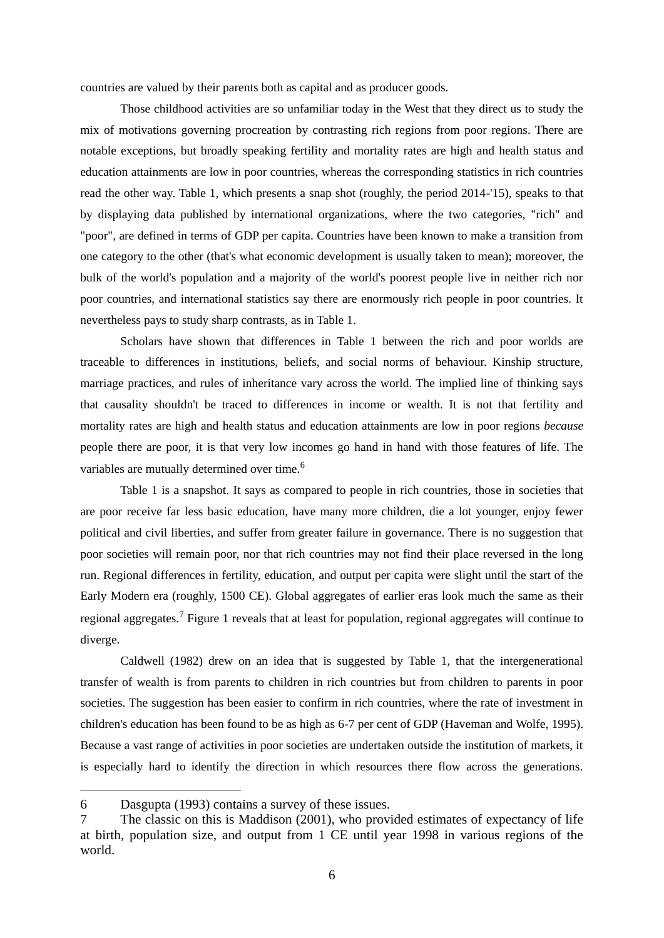countries are valued by their parents both as capital and as producer goods.

Those childhood activities are so unfamiliar today in the West that they direct us to study the mix of motivations governing procreation by contrasting rich regions from poor regions. There are notable exceptions, but broadly speaking fertility and mortality rates are high and health status and education attainments are low in poor countries, whereas the corresponding statistics in rich countries read the other way. Table 1, which presents a snap shot (roughly, the period 2014-'15), speaks to that by displaying data published by international organizations, where the two categories, "rich" and "poor", are defined in terms of GDP per capita. Countries have been known to make a transition from one category to the other (that's what economic development is usually taken to mean); moreover, the bulk of the world's population and a majority of the world's poorest people live in neither rich nor poor countries, and international statistics say there are enormously rich people in poor countries. It nevertheless pays to study sharp contrasts, as in Table 1.

Scholars have shown that differences in Table 1 between the rich and poor worlds are traceable to differences in institutions, beliefs, and social norms of behaviour. Kinship structure, marriage practices, and rules of inheritance vary across the world. The implied line of thinking says that causality shouldn't be traced to differences in income or wealth. It is not that fertility and mortality rates are high and health status and education attainments are low in poor regions *because* people there are poor, it is that very low incomes go hand in hand with those features of life. The variables are mutually determined over time.<sup>6</sup>

Table 1 is a snapshot. It says as compared to people in rich countries, those in societies that are poor receive far less basic education, have many more children, die a lot younger, enjoy fewer political and civil liberties, and suffer from greater failure in governance. There is no suggestion that poor societies will remain poor, nor that rich countries may not find their place reversed in the long run. Regional differences in fertility, education, and output per capita were slight until the start of the Early Modern era (roughly, 1500 CE). Global aggregates of earlier eras look much the same as their regional aggregates.<sup>7</sup> Figure 1 reveals that at least for population, regional aggregates will continue to diverge.

Caldwell (1982) drew on an idea that is suggested by Table 1, that the intergenerational transfer of wealth is from parents to children in rich countries but from children to parents in poor societies. The suggestion has been easier to confirm in rich countries, where the rate of investment in children's education has been found to be as high as 6-7 per cent of GDP (Haveman and Wolfe, 1995). Because a vast range of activities in poor societies are undertaken outside the institution of markets, it is especially hard to identify the direction in which resources there flow across the generations.

1

<sup>6</sup> Dasgupta (1993) contains a survey of these issues.

<sup>7</sup> The classic on this is Maddison (2001), who provided estimates of expectancy of life at birth, population size, and output from 1 CE until year 1998 in various regions of the world.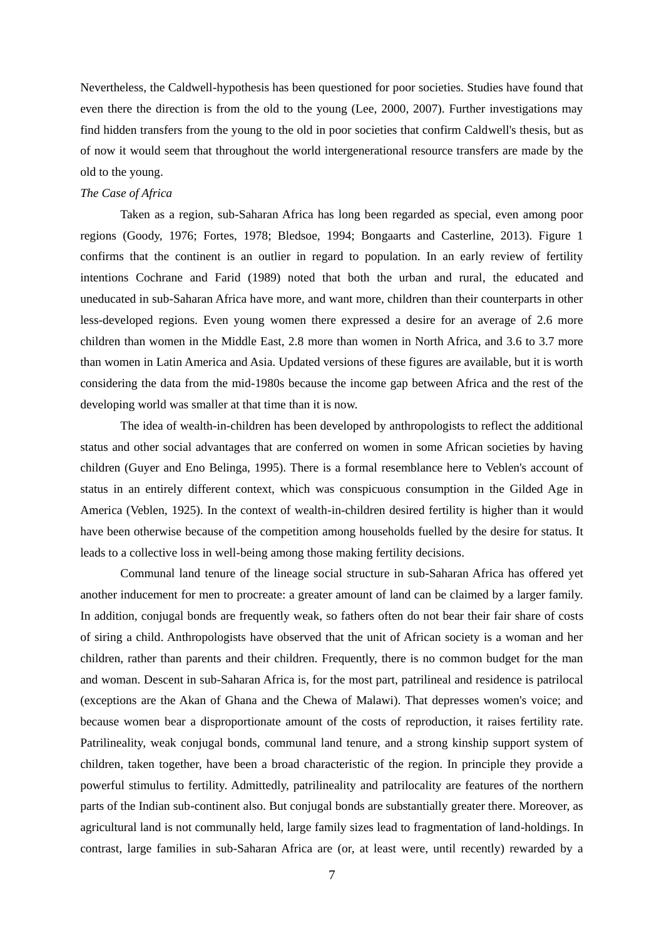Nevertheless, the Caldwell-hypothesis has been questioned for poor societies. Studies have found that even there the direction is from the old to the young (Lee, 2000, 2007). Further investigations may find hidden transfers from the young to the old in poor societies that confirm Caldwell's thesis, but as of now it would seem that throughout the world intergenerational resource transfers are made by the old to the young.

### *The Case of Africa*

Taken as a region, sub-Saharan Africa has long been regarded as special, even among poor regions (Goody, 1976; Fortes, 1978; Bledsoe, 1994; Bongaarts and Casterline, 2013). Figure 1 confirms that the continent is an outlier in regard to population. In an early review of fertility intentions Cochrane and Farid (1989) noted that both the urban and rural, the educated and uneducated in sub-Saharan Africa have more, and want more, children than their counterparts in other less-developed regions. Even young women there expressed a desire for an average of 2.6 more children than women in the Middle East, 2.8 more than women in North Africa, and 3.6 to 3.7 more than women in Latin America and Asia. Updated versions of these figures are available, but it is worth considering the data from the mid-1980s because the income gap between Africa and the rest of the developing world was smaller at that time than it is now.

The idea of wealth-in-children has been developed by anthropologists to reflect the additional status and other social advantages that are conferred on women in some African societies by having children (Guyer and Eno Belinga, 1995). There is a formal resemblance here to Veblen's account of status in an entirely different context, which was conspicuous consumption in the Gilded Age in America (Veblen, 1925). In the context of wealth-in-children desired fertility is higher than it would have been otherwise because of the competition among households fuelled by the desire for status. It leads to a collective loss in well-being among those making fertility decisions.

Communal land tenure of the lineage social structure in sub-Saharan Africa has offered yet another inducement for men to procreate: a greater amount of land can be claimed by a larger family. In addition, conjugal bonds are frequently weak, so fathers often do not bear their fair share of costs of siring a child. Anthropologists have observed that the unit of African society is a woman and her children, rather than parents and their children. Frequently, there is no common budget for the man and woman. Descent in sub-Saharan Africa is, for the most part, patrilineal and residence is patrilocal (exceptions are the Akan of Ghana and the Chewa of Malawi). That depresses women's voice; and because women bear a disproportionate amount of the costs of reproduction, it raises fertility rate. Patrilineality, weak conjugal bonds, communal land tenure, and a strong kinship support system of children, taken together, have been a broad characteristic of the region. In principle they provide a powerful stimulus to fertility. Admittedly, patrilineality and patrilocality are features of the northern parts of the Indian sub-continent also. But conjugal bonds are substantially greater there. Moreover, as agricultural land is not communally held, large family sizes lead to fragmentation of land-holdings. In contrast, large families in sub-Saharan Africa are (or, at least were, until recently) rewarded by a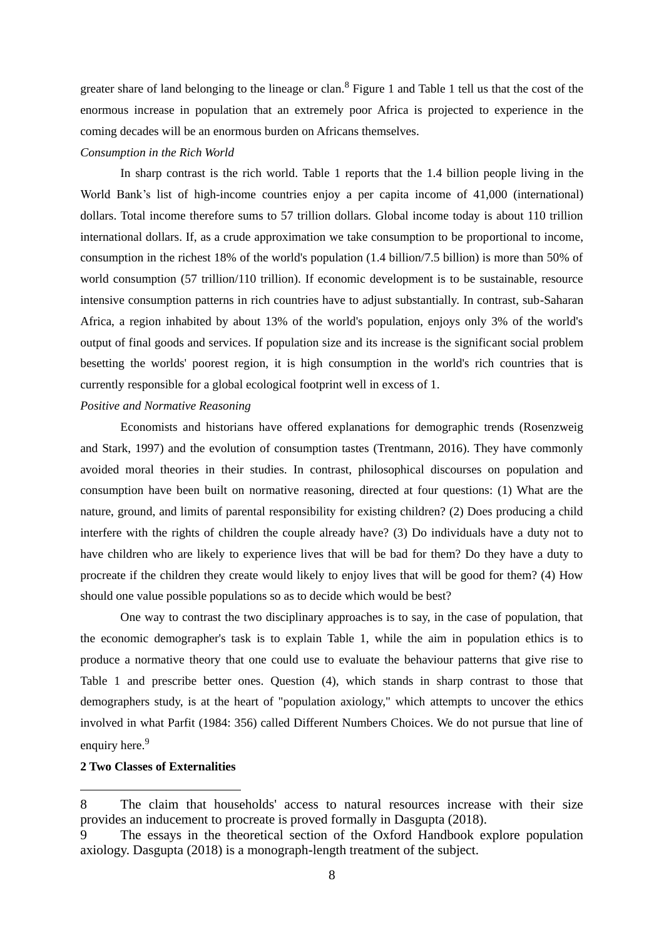greater share of land belonging to the lineage or clan.<sup>8</sup> Figure 1 and Table 1 tell us that the cost of the enormous increase in population that an extremely poor Africa is projected to experience in the coming decades will be an enormous burden on Africans themselves.

#### *Consumption in the Rich World*

In sharp contrast is the rich world. Table 1 reports that the 1.4 billion people living in the World Bank's list of high-income countries enjoy a per capita income of 41,000 (international) dollars. Total income therefore sums to 57 trillion dollars. Global income today is about 110 trillion international dollars. If, as a crude approximation we take consumption to be proportional to income, consumption in the richest 18% of the world's population (1.4 billion/7.5 billion) is more than 50% of world consumption (57 trillion/110 trillion). If economic development is to be sustainable, resource intensive consumption patterns in rich countries have to adjust substantially. In contrast, sub-Saharan Africa, a region inhabited by about 13% of the world's population, enjoys only 3% of the world's output of final goods and services. If population size and its increase is the significant social problem besetting the worlds' poorest region, it is high consumption in the world's rich countries that is currently responsible for a global ecological footprint well in excess of 1.

#### *Positive and Normative Reasoning*

Economists and historians have offered explanations for demographic trends (Rosenzweig and Stark, 1997) and the evolution of consumption tastes (Trentmann, 2016). They have commonly avoided moral theories in their studies. In contrast, philosophical discourses on population and consumption have been built on normative reasoning, directed at four questions: (1) What are the nature, ground, and limits of parental responsibility for existing children? (2) Does producing a child interfere with the rights of children the couple already have? (3) Do individuals have a duty not to have children who are likely to experience lives that will be bad for them? Do they have a duty to procreate if the children they create would likely to enjoy lives that will be good for them? (4) How should one value possible populations so as to decide which would be best?

One way to contrast the two disciplinary approaches is to say, in the case of population, that the economic demographer's task is to explain Table 1, while the aim in population ethics is to produce a normative theory that one could use to evaluate the behaviour patterns that give rise to Table 1 and prescribe better ones. Question (4), which stands in sharp contrast to those that demographers study, is at the heart of "population axiology," which attempts to uncover the ethics involved in what Parfit (1984: 356) called Different Numbers Choices. We do not pursue that line of enquiry here.<sup>9</sup>

## **2 Two Classes of Externalities**

1

<sup>8</sup> The claim that households' access to natural resources increase with their size provides an inducement to procreate is proved formally in Dasgupta (2018).

The essays in the theoretical section of the Oxford Handbook explore population axiology. Dasgupta (2018) is a monograph-length treatment of the subject.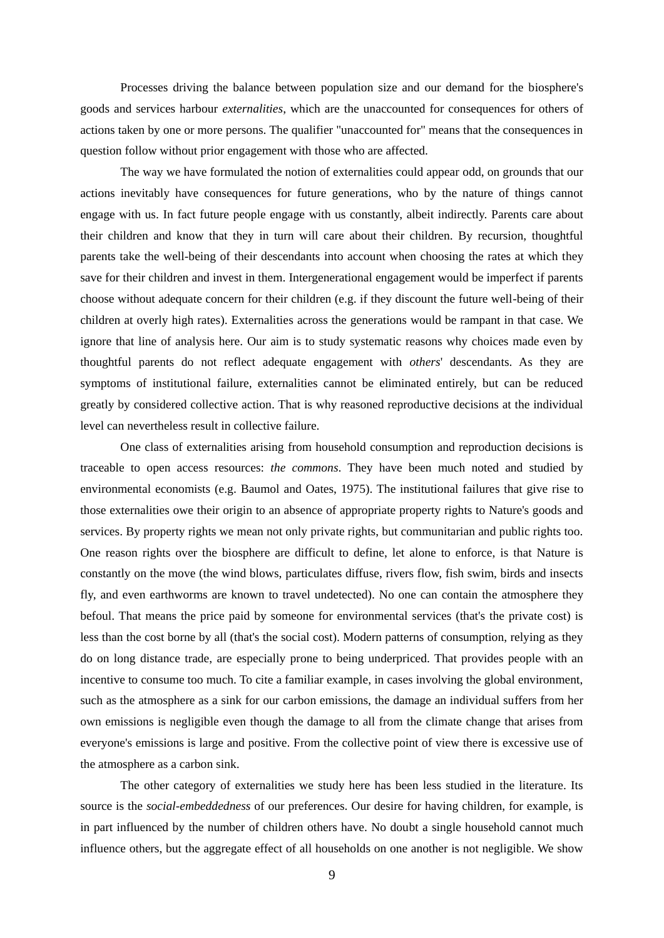Processes driving the balance between population size and our demand for the biosphere's goods and services harbour *externalities*, which are the unaccounted for consequences for others of actions taken by one or more persons. The qualifier "unaccounted for" means that the consequences in question follow without prior engagement with those who are affected.

The way we have formulated the notion of externalities could appear odd, on grounds that our actions inevitably have consequences for future generations, who by the nature of things cannot engage with us. In fact future people engage with us constantly, albeit indirectly. Parents care about their children and know that they in turn will care about their children. By recursion, thoughtful parents take the well-being of their descendants into account when choosing the rates at which they save for their children and invest in them. Intergenerational engagement would be imperfect if parents choose without adequate concern for their children (e.g. if they discount the future well-being of their children at overly high rates). Externalities across the generations would be rampant in that case. We ignore that line of analysis here. Our aim is to study systematic reasons why choices made even by thoughtful parents do not reflect adequate engagement with *others*' descendants. As they are symptoms of institutional failure, externalities cannot be eliminated entirely, but can be reduced greatly by considered collective action. That is why reasoned reproductive decisions at the individual level can nevertheless result in collective failure.

One class of externalities arising from household consumption and reproduction decisions is traceable to open access resources: *the commons*. They have been much noted and studied by environmental economists (e.g. Baumol and Oates, 1975). The institutional failures that give rise to those externalities owe their origin to an absence of appropriate property rights to Nature's goods and services. By property rights we mean not only private rights, but communitarian and public rights too. One reason rights over the biosphere are difficult to define, let alone to enforce, is that Nature is constantly on the move (the wind blows, particulates diffuse, rivers flow, fish swim, birds and insects fly, and even earthworms are known to travel undetected). No one can contain the atmosphere they befoul. That means the price paid by someone for environmental services (that's the private cost) is less than the cost borne by all (that's the social cost). Modern patterns of consumption, relying as they do on long distance trade, are especially prone to being underpriced. That provides people with an incentive to consume too much. To cite a familiar example, in cases involving the global environment, such as the atmosphere as a sink for our carbon emissions, the damage an individual suffers from her own emissions is negligible even though the damage to all from the climate change that arises from everyone's emissions is large and positive. From the collective point of view there is excessive use of the atmosphere as a carbon sink.

The other category of externalities we study here has been less studied in the literature. Its source is the *social-embeddedness* of our preferences. Our desire for having children, for example, is in part influenced by the number of children others have. No doubt a single household cannot much influence others, but the aggregate effect of all households on one another is not negligible. We show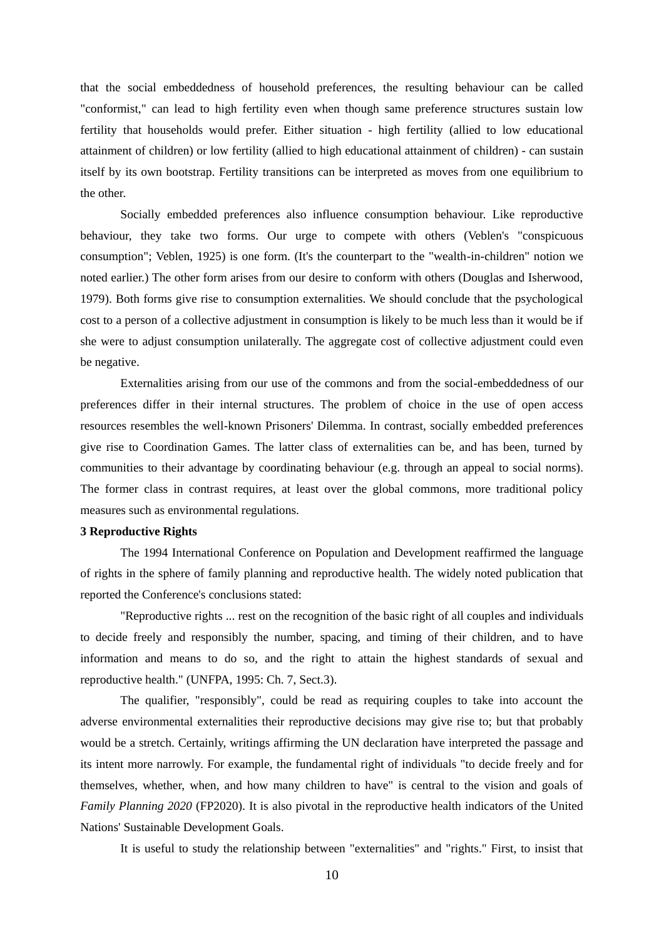that the social embeddedness of household preferences, the resulting behaviour can be called "conformist," can lead to high fertility even when though same preference structures sustain low fertility that households would prefer. Either situation - high fertility (allied to low educational attainment of children) or low fertility (allied to high educational attainment of children) - can sustain itself by its own bootstrap. Fertility transitions can be interpreted as moves from one equilibrium to the other.

Socially embedded preferences also influence consumption behaviour. Like reproductive behaviour, they take two forms. Our urge to compete with others (Veblen's "conspicuous consumption"; Veblen, 1925) is one form. (It's the counterpart to the "wealth-in-children" notion we noted earlier.) The other form arises from our desire to conform with others (Douglas and Isherwood, 1979). Both forms give rise to consumption externalities. We should conclude that the psychological cost to a person of a collective adjustment in consumption is likely to be much less than it would be if she were to adjust consumption unilaterally. The aggregate cost of collective adjustment could even be negative.

Externalities arising from our use of the commons and from the social-embeddedness of our preferences differ in their internal structures. The problem of choice in the use of open access resources resembles the well-known Prisoners' Dilemma. In contrast, socially embedded preferences give rise to Coordination Games. The latter class of externalities can be, and has been, turned by communities to their advantage by coordinating behaviour (e.g. through an appeal to social norms). The former class in contrast requires, at least over the global commons, more traditional policy measures such as environmental regulations.

#### **3 Reproductive Rights**

The 1994 International Conference on Population and Development reaffirmed the language of rights in the sphere of family planning and reproductive health. The widely noted publication that reported the Conference's conclusions stated:

"Reproductive rights ... rest on the recognition of the basic right of all couples and individuals to decide freely and responsibly the number, spacing, and timing of their children, and to have information and means to do so, and the right to attain the highest standards of sexual and reproductive health." (UNFPA, 1995: Ch. 7, Sect.3).

The qualifier, "responsibly", could be read as requiring couples to take into account the adverse environmental externalities their reproductive decisions may give rise to; but that probably would be a stretch. Certainly, writings affirming the UN declaration have interpreted the passage and its intent more narrowly. For example, the fundamental right of individuals "to decide freely and for themselves, whether, when, and how many children to have" is central to the vision and goals of *Family Planning 2020* (FP2020). It is also pivotal in the reproductive health indicators of the United Nations' Sustainable Development Goals.

It is useful to study the relationship between "externalities" and "rights." First, to insist that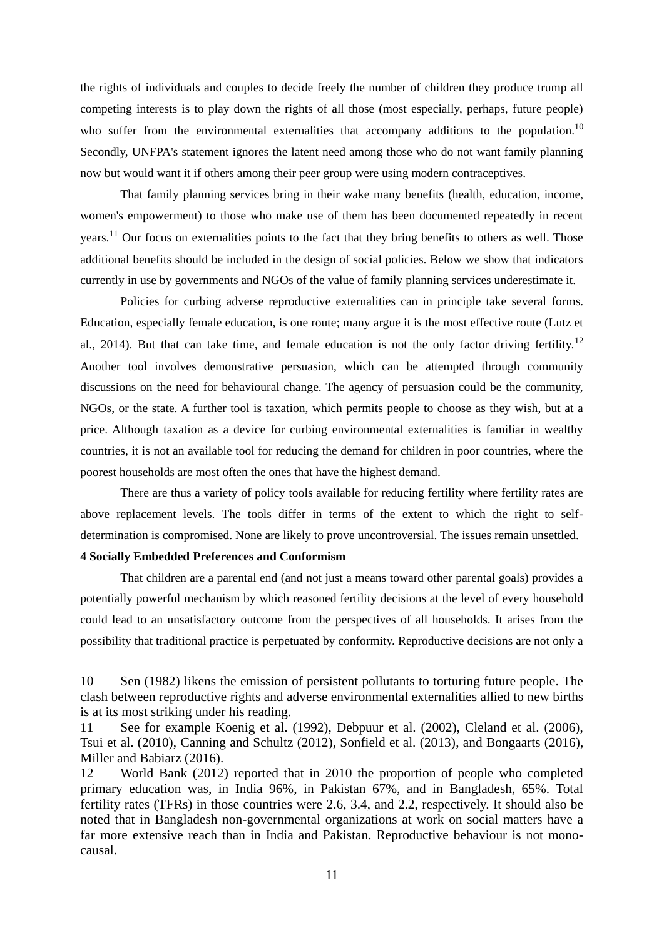the rights of individuals and couples to decide freely the number of children they produce trump all competing interests is to play down the rights of all those (most especially, perhaps, future people) who suffer from the environmental externalities that accompany additions to the population.<sup>10</sup> Secondly, UNFPA's statement ignores the latent need among those who do not want family planning now but would want it if others among their peer group were using modern contraceptives.

That family planning services bring in their wake many benefits (health, education, income, women's empowerment) to those who make use of them has been documented repeatedly in recent years.<sup>11</sup> Our focus on externalities points to the fact that they bring benefits to others as well. Those additional benefits should be included in the design of social policies. Below we show that indicators currently in use by governments and NGOs of the value of family planning services underestimate it.

Policies for curbing adverse reproductive externalities can in principle take several forms. Education, especially female education, is one route; many argue it is the most effective route (Lutz et al., 2014). But that can take time, and female education is not the only factor driving fertility.<sup>12</sup> Another tool involves demonstrative persuasion, which can be attempted through community discussions on the need for behavioural change. The agency of persuasion could be the community, NGOs, or the state. A further tool is taxation, which permits people to choose as they wish, but at a price. Although taxation as a device for curbing environmental externalities is familiar in wealthy countries, it is not an available tool for reducing the demand for children in poor countries, where the poorest households are most often the ones that have the highest demand.

There are thus a variety of policy tools available for reducing fertility where fertility rates are above replacement levels. The tools differ in terms of the extent to which the right to selfdetermination is compromised. None are likely to prove uncontroversial. The issues remain unsettled.

### **4 Socially Embedded Preferences and Conformism**

<u>.</u>

That children are a parental end (and not just a means toward other parental goals) provides a potentially powerful mechanism by which reasoned fertility decisions at the level of every household could lead to an unsatisfactory outcome from the perspectives of all households. It arises from the possibility that traditional practice is perpetuated by conformity. Reproductive decisions are not only a

<sup>10</sup> Sen (1982) likens the emission of persistent pollutants to torturing future people. The clash between reproductive rights and adverse environmental externalities allied to new births is at its most striking under his reading.

<sup>11</sup> See for example Koenig et al. (1992), Debpuur et al. (2002), Cleland et al. (2006), Tsui et al. (2010), Canning and Schultz (2012), Sonfield et al. (2013), and Bongaarts (2016), Miller and Babiarz (2016).

<sup>12</sup> World Bank (2012) reported that in 2010 the proportion of people who completed primary education was, in India 96%, in Pakistan 67%, and in Bangladesh, 65%. Total fertility rates (TFRs) in those countries were 2.6, 3.4, and 2.2, respectively. It should also be noted that in Bangladesh non-governmental organizations at work on social matters have a far more extensive reach than in India and Pakistan. Reproductive behaviour is not monocausal.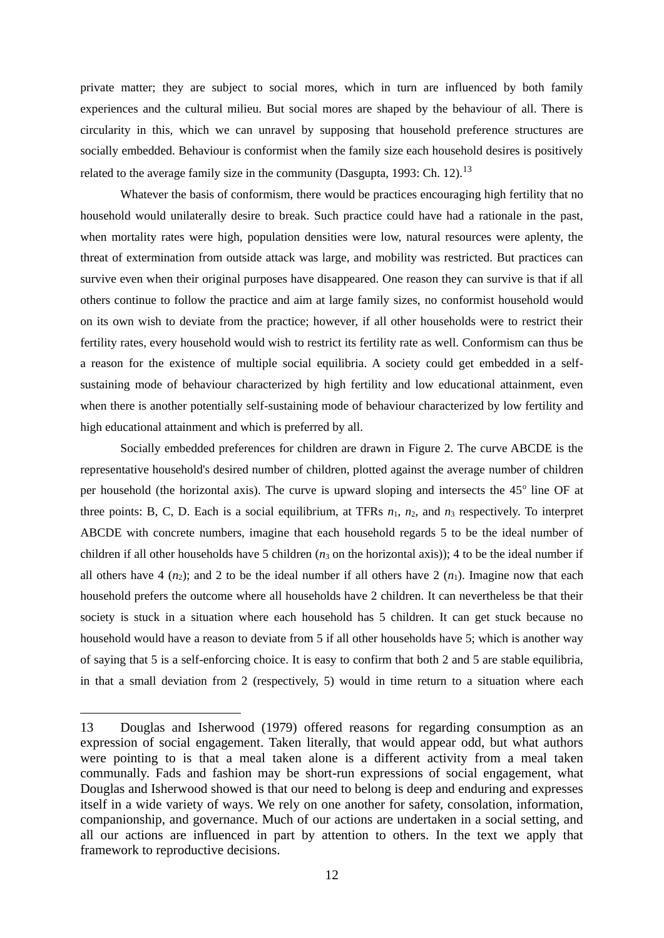private matter; they are subject to social mores, which in turn are influenced by both family experiences and the cultural milieu. But social mores are shaped by the behaviour of all. There is circularity in this, which we can unravel by supposing that household preference structures are socially embedded. Behaviour is conformist when the family size each household desires is positively related to the average family size in the community (Dasgupta, 1993: Ch. 12).<sup>13</sup>

Whatever the basis of conformism, there would be practices encouraging high fertility that no household would unilaterally desire to break. Such practice could have had a rationale in the past, when mortality rates were high, population densities were low, natural resources were aplenty, the threat of extermination from outside attack was large, and mobility was restricted. But practices can survive even when their original purposes have disappeared. One reason they can survive is that if all others continue to follow the practice and aim at large family sizes, no conformist household would on its own wish to deviate from the practice; however, if all other households were to restrict their fertility rates, every household would wish to restrict its fertility rate as well. Conformism can thus be a reason for the existence of multiple social equilibria. A society could get embedded in a selfsustaining mode of behaviour characterized by high fertility and low educational attainment, even when there is another potentially self-sustaining mode of behaviour characterized by low fertility and high educational attainment and which is preferred by all.

Socially embedded preferences for children are drawn in Figure 2. The curve ABCDE is the representative household's desired number of children, plotted against the average number of children per household (the horizontal axis). The curve is upward sloping and intersects the 45° line OF at three points: B, C, D. Each is a social equilibrium, at TFRs  $n_1$ ,  $n_2$ , and  $n_3$  respectively. To interpret ABCDE with concrete numbers, imagine that each household regards 5 to be the ideal number of children if all other households have 5 children (*n*<sub>3</sub> on the horizontal axis)); 4 to be the ideal number if all others have 4  $(n_2)$ ; and 2 to be the ideal number if all others have 2  $(n_1)$ . Imagine now that each household prefers the outcome where all households have 2 children. It can nevertheless be that their society is stuck in a situation where each household has 5 children. It can get stuck because no household would have a reason to deviate from 5 if all other households have 5; which is another way of saying that 5 is a self-enforcing choice. It is easy to confirm that both 2 and 5 are stable equilibria, in that a small deviation from 2 (respectively, 5) would in time return to a situation where each

1

<sup>13</sup> Douglas and Isherwood (1979) offered reasons for regarding consumption as an expression of social engagement. Taken literally, that would appear odd, but what authors were pointing to is that a meal taken alone is a different activity from a meal taken communally. Fads and fashion may be short-run expressions of social engagement, what Douglas and Isherwood showed is that our need to belong is deep and enduring and expresses itself in a wide variety of ways. We rely on one another for safety, consolation, information, companionship, and governance. Much of our actions are undertaken in a social setting, and all our actions are influenced in part by attention to others. In the text we apply that framework to reproductive decisions.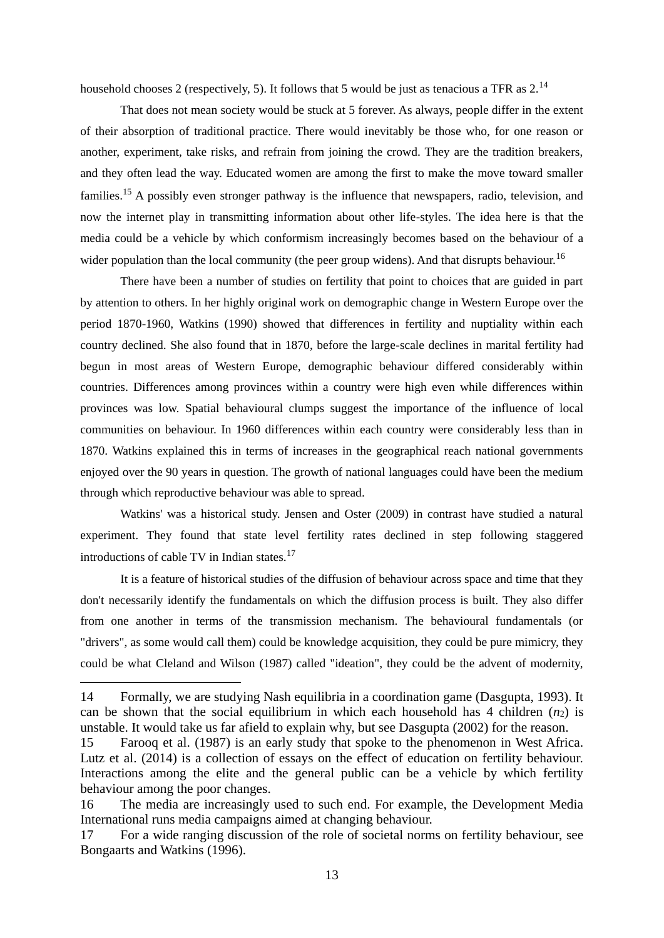household chooses 2 (respectively, 5). It follows that 5 would be just as tenacious a TFR as 2.<sup>14</sup>

That does not mean society would be stuck at 5 forever. As always, people differ in the extent of their absorption of traditional practice. There would inevitably be those who, for one reason or another, experiment, take risks, and refrain from joining the crowd. They are the tradition breakers, and they often lead the way. Educated women are among the first to make the move toward smaller families.<sup>15</sup> A possibly even stronger pathway is the influence that newspapers, radio, television, and now the internet play in transmitting information about other life-styles. The idea here is that the media could be a vehicle by which conformism increasingly becomes based on the behaviour of a wider population than the local community (the peer group widens). And that disrupts behaviour.<sup>16</sup>

There have been a number of studies on fertility that point to choices that are guided in part by attention to others. In her highly original work on demographic change in Western Europe over the period 1870-1960, Watkins (1990) showed that differences in fertility and nuptiality within each country declined. She also found that in 1870, before the large-scale declines in marital fertility had begun in most areas of Western Europe, demographic behaviour differed considerably within countries. Differences among provinces within a country were high even while differences within provinces was low. Spatial behavioural clumps suggest the importance of the influence of local communities on behaviour. In 1960 differences within each country were considerably less than in 1870. Watkins explained this in terms of increases in the geographical reach national governments enjoyed over the 90 years in question. The growth of national languages could have been the medium through which reproductive behaviour was able to spread.

Watkins' was a historical study. Jensen and Oster (2009) in contrast have studied a natural experiment. They found that state level fertility rates declined in step following staggered introductions of cable TV in Indian states.<sup>17</sup>

It is a feature of historical studies of the diffusion of behaviour across space and time that they don't necessarily identify the fundamentals on which the diffusion process is built. They also differ from one another in terms of the transmission mechanism. The behavioural fundamentals (or "drivers", as some would call them) could be knowledge acquisition, they could be pure mimicry, they could be what Cleland and Wilson (1987) called "ideation", they could be the advent of modernity,

<u>.</u>

<sup>14</sup> Formally, we are studying Nash equilibria in a coordination game (Dasgupta, 1993). It can be shown that the social equilibrium in which each household has 4 children  $(n_2)$  is unstable. It would take us far afield to explain why, but see Dasgupta (2002) for the reason.

<sup>15</sup> Farooq et al. (1987) is an early study that spoke to the phenomenon in West Africa. Lutz et al. (2014) is a collection of essays on the effect of education on fertility behaviour. Interactions among the elite and the general public can be a vehicle by which fertility behaviour among the poor changes.

<sup>16</sup> The media are increasingly used to such end. For example, the Development Media International runs media campaigns aimed at changing behaviour.

<sup>17</sup> For a wide ranging discussion of the role of societal norms on fertility behaviour, see Bongaarts and Watkins (1996).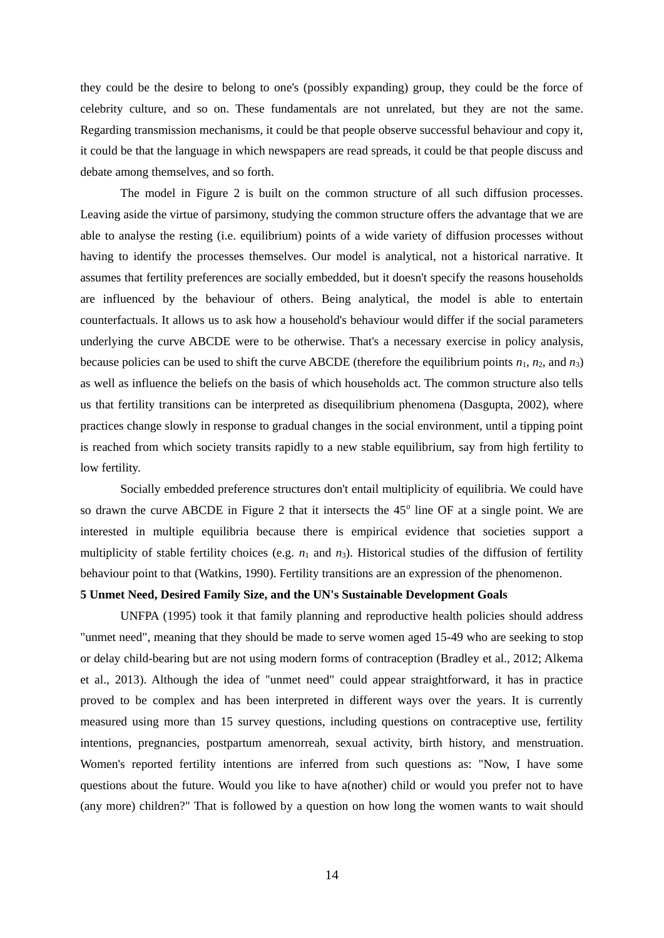they could be the desire to belong to one's (possibly expanding) group, they could be the force of celebrity culture, and so on. These fundamentals are not unrelated, but they are not the same. Regarding transmission mechanisms, it could be that people observe successful behaviour and copy it, it could be that the language in which newspapers are read spreads, it could be that people discuss and debate among themselves, and so forth.

The model in Figure 2 is built on the common structure of all such diffusion processes. Leaving aside the virtue of parsimony, studying the common structure offers the advantage that we are able to analyse the resting (i.e. equilibrium) points of a wide variety of diffusion processes without having to identify the processes themselves. Our model is analytical, not a historical narrative. It assumes that fertility preferences are socially embedded, but it doesn't specify the reasons households are influenced by the behaviour of others. Being analytical, the model is able to entertain counterfactuals. It allows us to ask how a household's behaviour would differ if the social parameters underlying the curve ABCDE were to be otherwise. That's a necessary exercise in policy analysis, because policies can be used to shift the curve ABCDE (therefore the equilibrium points  $n_1$ ,  $n_2$ , and  $n_3$ ) as well as influence the beliefs on the basis of which households act. The common structure also tells us that fertility transitions can be interpreted as disequilibrium phenomena (Dasgupta, 2002), where practices change slowly in response to gradual changes in the social environment, until a tipping point is reached from which society transits rapidly to a new stable equilibrium, say from high fertility to low fertility.

Socially embedded preference structures don't entail multiplicity of equilibria. We could have so drawn the curve ABCDE in Figure 2 that it intersects the 45<sup>°</sup> line OF at a single point. We are interested in multiple equilibria because there is empirical evidence that societies support a multiplicity of stable fertility choices (e.g.  $n_1$  and  $n_3$ ). Historical studies of the diffusion of fertility behaviour point to that (Watkins, 1990). Fertility transitions are an expression of the phenomenon.

#### **5 Unmet Need, Desired Family Size, and the UN's Sustainable Development Goals**

UNFPA (1995) took it that family planning and reproductive health policies should address "unmet need", meaning that they should be made to serve women aged 15-49 who are seeking to stop or delay child-bearing but are not using modern forms of contraception (Bradley et al., 2012; Alkema et al., 2013). Although the idea of "unmet need" could appear straightforward, it has in practice proved to be complex and has been interpreted in different ways over the years. It is currently measured using more than 15 survey questions, including questions on contraceptive use, fertility intentions, pregnancies, postpartum amenorreah, sexual activity, birth history, and menstruation. Women's reported fertility intentions are inferred from such questions as: "Now, I have some questions about the future. Would you like to have a(nother) child or would you prefer not to have (any more) children?" That is followed by a question on how long the women wants to wait should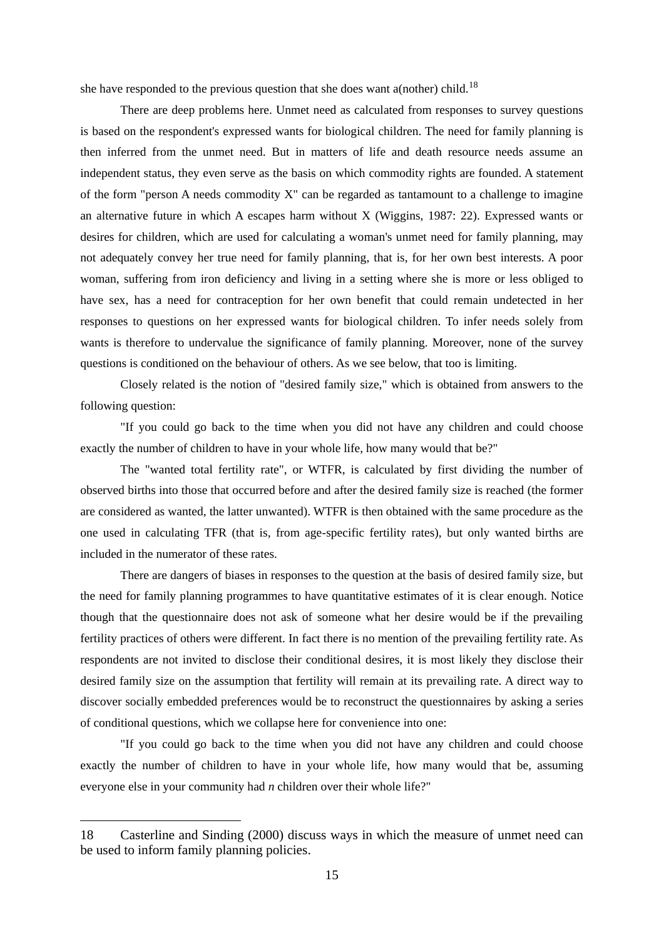she have responded to the previous question that she does want a(nother) child.<sup>18</sup>

There are deep problems here. Unmet need as calculated from responses to survey questions is based on the respondent's expressed wants for biological children. The need for family planning is then inferred from the unmet need. But in matters of life and death resource needs assume an independent status, they even serve as the basis on which commodity rights are founded. A statement of the form "person A needs commodity X" can be regarded as tantamount to a challenge to imagine an alternative future in which A escapes harm without X (Wiggins, 1987: 22). Expressed wants or desires for children, which are used for calculating a woman's unmet need for family planning, may not adequately convey her true need for family planning, that is, for her own best interests. A poor woman, suffering from iron deficiency and living in a setting where she is more or less obliged to have sex, has a need for contraception for her own benefit that could remain undetected in her responses to questions on her expressed wants for biological children. To infer needs solely from wants is therefore to undervalue the significance of family planning. Moreover, none of the survey questions is conditioned on the behaviour of others. As we see below, that too is limiting.

Closely related is the notion of "desired family size," which is obtained from answers to the following question:

"If you could go back to the time when you did not have any children and could choose exactly the number of children to have in your whole life, how many would that be?"

The "wanted total fertility rate", or WTFR, is calculated by first dividing the number of observed births into those that occurred before and after the desired family size is reached (the former are considered as wanted, the latter unwanted). WTFR is then obtained with the same procedure as the one used in calculating TFR (that is, from age-specific fertility rates), but only wanted births are included in the numerator of these rates.

There are dangers of biases in responses to the question at the basis of desired family size, but the need for family planning programmes to have quantitative estimates of it is clear enough. Notice though that the questionnaire does not ask of someone what her desire would be if the prevailing fertility practices of others were different. In fact there is no mention of the prevailing fertility rate. As respondents are not invited to disclose their conditional desires, it is most likely they disclose their desired family size on the assumption that fertility will remain at its prevailing rate. A direct way to discover socially embedded preferences would be to reconstruct the questionnaires by asking a series of conditional questions, which we collapse here for convenience into one:

"If you could go back to the time when you did not have any children and could choose exactly the number of children to have in your whole life, how many would that be, assuming everyone else in your community had *n* children over their whole life?"

1

<sup>18</sup> Casterline and Sinding (2000) discuss ways in which the measure of unmet need can be used to inform family planning policies.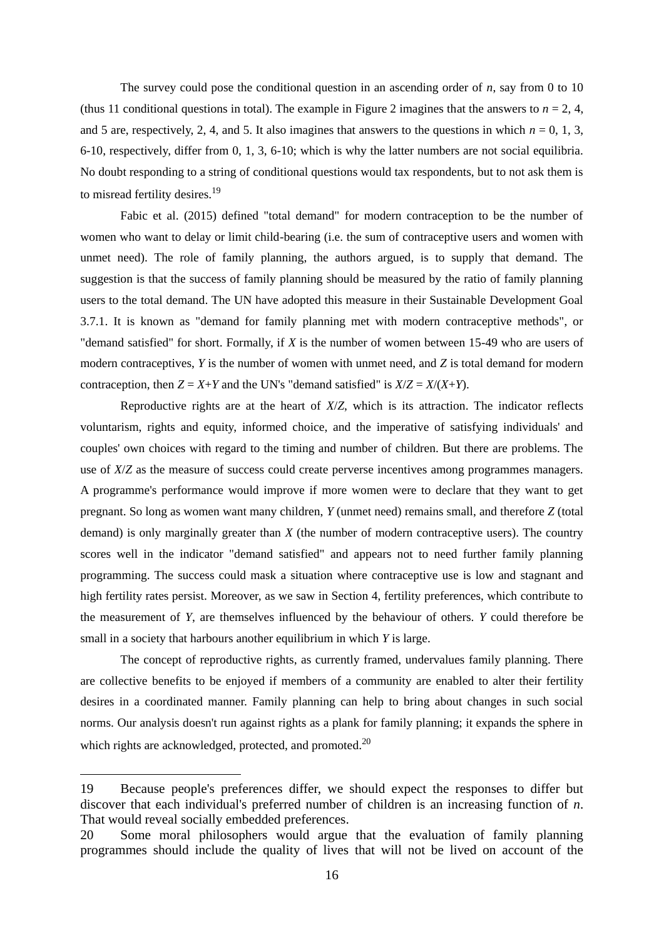The survey could pose the conditional question in an ascending order of *n*, say from 0 to 10 (thus 11 conditional questions in total). The example in Figure 2 imagines that the answers to  $n = 2, 4$ , and 5 are, respectively, 2, 4, and 5. It also imagines that answers to the questions in which  $n = 0, 1, 3$ , 6-10, respectively, differ from 0, 1, 3, 6-10; which is why the latter numbers are not social equilibria. No doubt responding to a string of conditional questions would tax respondents, but to not ask them is to misread fertility desires.<sup>19</sup>

Fabic et al. (2015) defined "total demand" for modern contraception to be the number of women who want to delay or limit child-bearing (i.e. the sum of contraceptive users and women with unmet need). The role of family planning, the authors argued, is to supply that demand. The suggestion is that the success of family planning should be measured by the ratio of family planning users to the total demand. The UN have adopted this measure in their Sustainable Development Goal 3.7.1. It is known as "demand for family planning met with modern contraceptive methods", or "demand satisfied" for short. Formally, if *X* is the number of women between 15-49 who are users of modern contraceptives, *Y* is the number of women with unmet need, and *Z* is total demand for modern contraception, then  $Z = X+Y$  and the UN's "demand satisfied" is  $X/Z = X/(X+Y)$ .

Reproductive rights are at the heart of *X*/*Z*, which is its attraction. The indicator reflects voluntarism, rights and equity, informed choice, and the imperative of satisfying individuals' and couples' own choices with regard to the timing and number of children. But there are problems. The use of *X*/*Z* as the measure of success could create perverse incentives among programmes managers. A programme's performance would improve if more women were to declare that they want to get pregnant. So long as women want many children, *Y* (unmet need) remains small, and therefore *Z* (total demand) is only marginally greater than *X* (the number of modern contraceptive users). The country scores well in the indicator "demand satisfied" and appears not to need further family planning programming. The success could mask a situation where contraceptive use is low and stagnant and high fertility rates persist. Moreover, as we saw in Section 4, fertility preferences, which contribute to the measurement of *Y*, are themselves influenced by the behaviour of others. *Y* could therefore be small in a society that harbours another equilibrium in which *Y* is large.

The concept of reproductive rights, as currently framed, undervalues family planning. There are collective benefits to be enjoyed if members of a community are enabled to alter their fertility desires in a coordinated manner. Family planning can help to bring about changes in such social norms. Our analysis doesn't run against rights as a plank for family planning; it expands the sphere in which rights are acknowledged, protected, and promoted.<sup>20</sup>

1

<sup>19</sup> Because people's preferences differ, we should expect the responses to differ but discover that each individual's preferred number of children is an increasing function of *n*. That would reveal socially embedded preferences.

<sup>20</sup> Some moral philosophers would argue that the evaluation of family planning programmes should include the quality of lives that will not be lived on account of the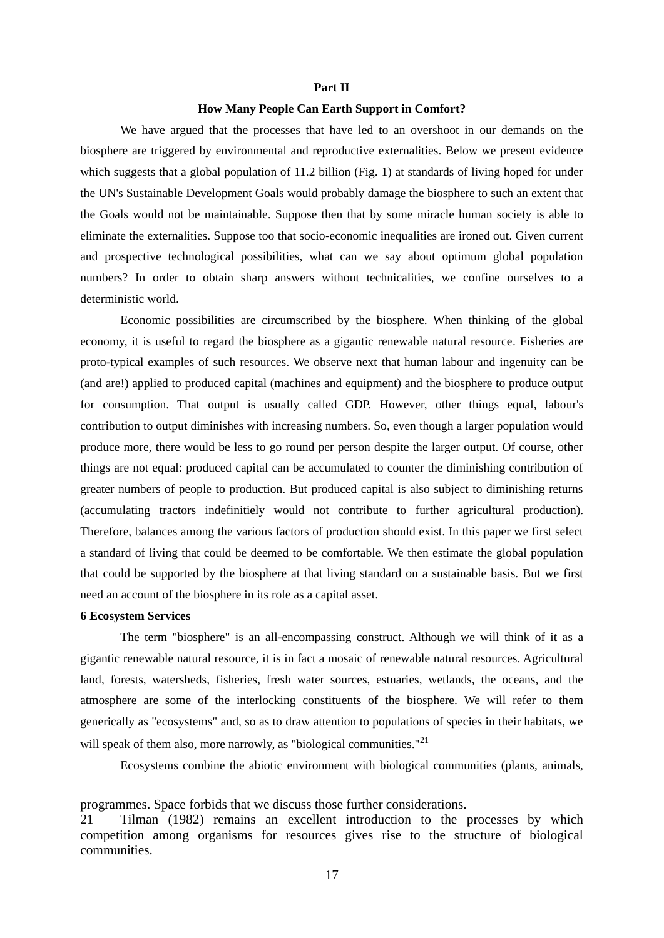#### **Part II**

#### **How Many People Can Earth Support in Comfort?**

We have argued that the processes that have led to an overshoot in our demands on the biosphere are triggered by environmental and reproductive externalities. Below we present evidence which suggests that a global population of 11.2 billion (Fig. 1) at standards of living hoped for under the UN's Sustainable Development Goals would probably damage the biosphere to such an extent that the Goals would not be maintainable. Suppose then that by some miracle human society is able to eliminate the externalities. Suppose too that socio-economic inequalities are ironed out. Given current and prospective technological possibilities, what can we say about optimum global population numbers? In order to obtain sharp answers without technicalities, we confine ourselves to a deterministic world.

Economic possibilities are circumscribed by the biosphere. When thinking of the global economy, it is useful to regard the biosphere as a gigantic renewable natural resource. Fisheries are proto-typical examples of such resources. We observe next that human labour and ingenuity can be (and are!) applied to produced capital (machines and equipment) and the biosphere to produce output for consumption. That output is usually called GDP. However, other things equal, labour's contribution to output diminishes with increasing numbers. So, even though a larger population would produce more, there would be less to go round per person despite the larger output. Of course, other things are not equal: produced capital can be accumulated to counter the diminishing contribution of greater numbers of people to production. But produced capital is also subject to diminishing returns (accumulating tractors indefinitiely would not contribute to further agricultural production). Therefore, balances among the various factors of production should exist. In this paper we first select a standard of living that could be deemed to be comfortable. We then estimate the global population that could be supported by the biosphere at that living standard on a sustainable basis. But we first need an account of the biosphere in its role as a capital asset.

#### **6 Ecosystem Services**

1

The term "biosphere" is an all-encompassing construct. Although we will think of it as a gigantic renewable natural resource, it is in fact a mosaic of renewable natural resources. Agricultural land, forests, watersheds, fisheries, fresh water sources, estuaries, wetlands, the oceans, and the atmosphere are some of the interlocking constituents of the biosphere. We will refer to them generically as "ecosystems" and, so as to draw attention to populations of species in their habitats, we will speak of them also, more narrowly, as "biological communities."<sup>21</sup>

Ecosystems combine the abiotic environment with biological communities (plants, animals,

programmes. Space forbids that we discuss those further considerations.

<sup>21</sup> Tilman (1982) remains an excellent introduction to the processes by which competition among organisms for resources gives rise to the structure of biological communities.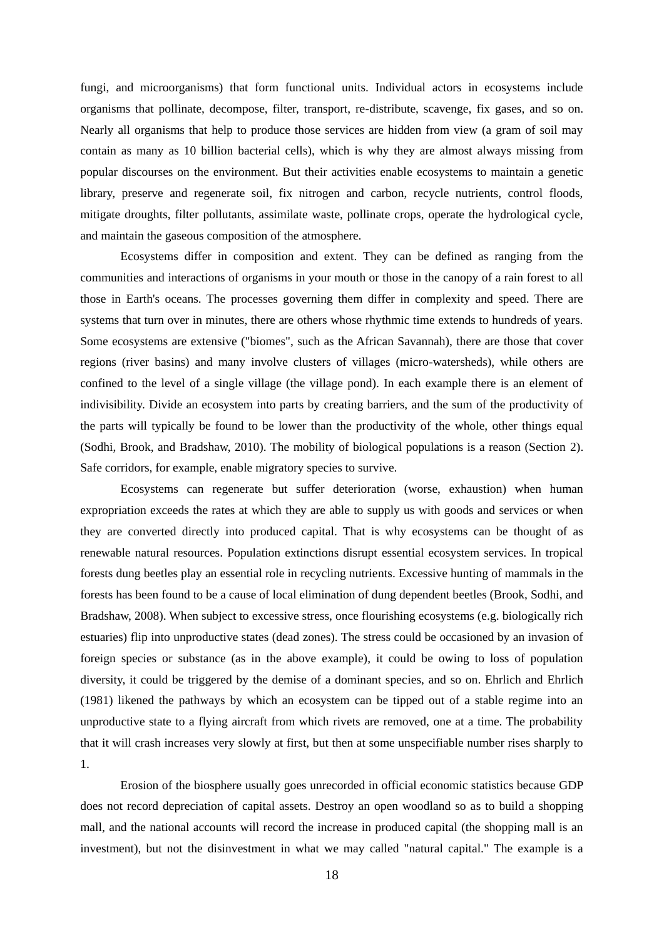fungi, and microorganisms) that form functional units. Individual actors in ecosystems include organisms that pollinate, decompose, filter, transport, re-distribute, scavenge, fix gases, and so on. Nearly all organisms that help to produce those services are hidden from view (a gram of soil may contain as many as 10 billion bacterial cells), which is why they are almost always missing from popular discourses on the environment. But their activities enable ecosystems to maintain a genetic library, preserve and regenerate soil, fix nitrogen and carbon, recycle nutrients, control floods, mitigate droughts, filter pollutants, assimilate waste, pollinate crops, operate the hydrological cycle, and maintain the gaseous composition of the atmosphere.

Ecosystems differ in composition and extent. They can be defined as ranging from the communities and interactions of organisms in your mouth or those in the canopy of a rain forest to all those in Earth's oceans. The processes governing them differ in complexity and speed. There are systems that turn over in minutes, there are others whose rhythmic time extends to hundreds of years. Some ecosystems are extensive ("biomes", such as the African Savannah), there are those that cover regions (river basins) and many involve clusters of villages (micro-watersheds), while others are confined to the level of a single village (the village pond). In each example there is an element of indivisibility. Divide an ecosystem into parts by creating barriers, and the sum of the productivity of the parts will typically be found to be lower than the productivity of the whole, other things equal (Sodhi, Brook, and Bradshaw, 2010). The mobility of biological populations is a reason (Section 2). Safe corridors, for example, enable migratory species to survive.

Ecosystems can regenerate but suffer deterioration (worse, exhaustion) when human expropriation exceeds the rates at which they are able to supply us with goods and services or when they are converted directly into produced capital. That is why ecosystems can be thought of as renewable natural resources. Population extinctions disrupt essential ecosystem services. In tropical forests dung beetles play an essential role in recycling nutrients. Excessive hunting of mammals in the forests has been found to be a cause of local elimination of dung dependent beetles (Brook, Sodhi, and Bradshaw, 2008). When subject to excessive stress, once flourishing ecosystems (e.g. biologically rich estuaries) flip into unproductive states (dead zones). The stress could be occasioned by an invasion of foreign species or substance (as in the above example), it could be owing to loss of population diversity, it could be triggered by the demise of a dominant species, and so on. Ehrlich and Ehrlich (1981) likened the pathways by which an ecosystem can be tipped out of a stable regime into an unproductive state to a flying aircraft from which rivets are removed, one at a time. The probability that it will crash increases very slowly at first, but then at some unspecifiable number rises sharply to 1.

Erosion of the biosphere usually goes unrecorded in official economic statistics because GDP does not record depreciation of capital assets. Destroy an open woodland so as to build a shopping mall, and the national accounts will record the increase in produced capital (the shopping mall is an investment), but not the disinvestment in what we may called "natural capital." The example is a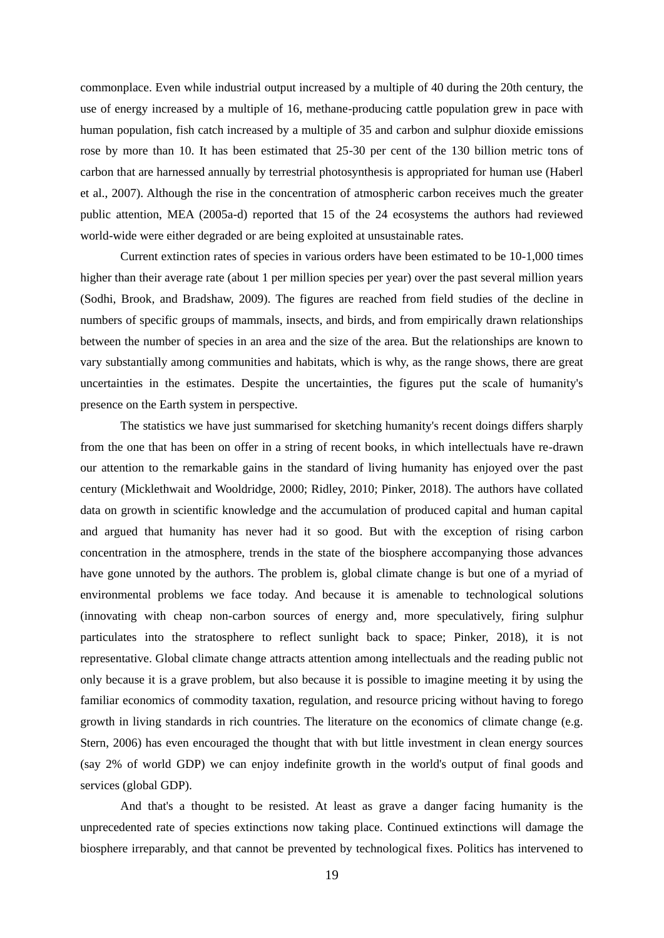commonplace. Even while industrial output increased by a multiple of 40 during the 20th century, the use of energy increased by a multiple of 16, methane-producing cattle population grew in pace with human population, fish catch increased by a multiple of 35 and carbon and sulphur dioxide emissions rose by more than 10. It has been estimated that 25-30 per cent of the 130 billion metric tons of carbon that are harnessed annually by terrestrial photosynthesis is appropriated for human use (Haberl et al., 2007). Although the rise in the concentration of atmospheric carbon receives much the greater public attention, MEA (2005a-d) reported that 15 of the 24 ecosystems the authors had reviewed world-wide were either degraded or are being exploited at unsustainable rates.

Current extinction rates of species in various orders have been estimated to be 10-1,000 times higher than their average rate (about 1 per million species per year) over the past several million years (Sodhi, Brook, and Bradshaw, 2009). The figures are reached from field studies of the decline in numbers of specific groups of mammals, insects, and birds, and from empirically drawn relationships between the number of species in an area and the size of the area. But the relationships are known to vary substantially among communities and habitats, which is why, as the range shows, there are great uncertainties in the estimates. Despite the uncertainties, the figures put the scale of humanity's presence on the Earth system in perspective.

The statistics we have just summarised for sketching humanity's recent doings differs sharply from the one that has been on offer in a string of recent books, in which intellectuals have re-drawn our attention to the remarkable gains in the standard of living humanity has enjoyed over the past century (Micklethwait and Wooldridge, 2000; Ridley, 2010; Pinker, 2018). The authors have collated data on growth in scientific knowledge and the accumulation of produced capital and human capital and argued that humanity has never had it so good. But with the exception of rising carbon concentration in the atmosphere, trends in the state of the biosphere accompanying those advances have gone unnoted by the authors. The problem is, global climate change is but one of a myriad of environmental problems we face today. And because it is amenable to technological solutions (innovating with cheap non-carbon sources of energy and, more speculatively, firing sulphur particulates into the stratosphere to reflect sunlight back to space; Pinker, 2018), it is not representative. Global climate change attracts attention among intellectuals and the reading public not only because it is a grave problem, but also because it is possible to imagine meeting it by using the familiar economics of commodity taxation, regulation, and resource pricing without having to forego growth in living standards in rich countries. The literature on the economics of climate change (e.g. Stern, 2006) has even encouraged the thought that with but little investment in clean energy sources (say 2% of world GDP) we can enjoy indefinite growth in the world's output of final goods and services (global GDP).

And that's a thought to be resisted. At least as grave a danger facing humanity is the unprecedented rate of species extinctions now taking place. Continued extinctions will damage the biosphere irreparably, and that cannot be prevented by technological fixes. Politics has intervened to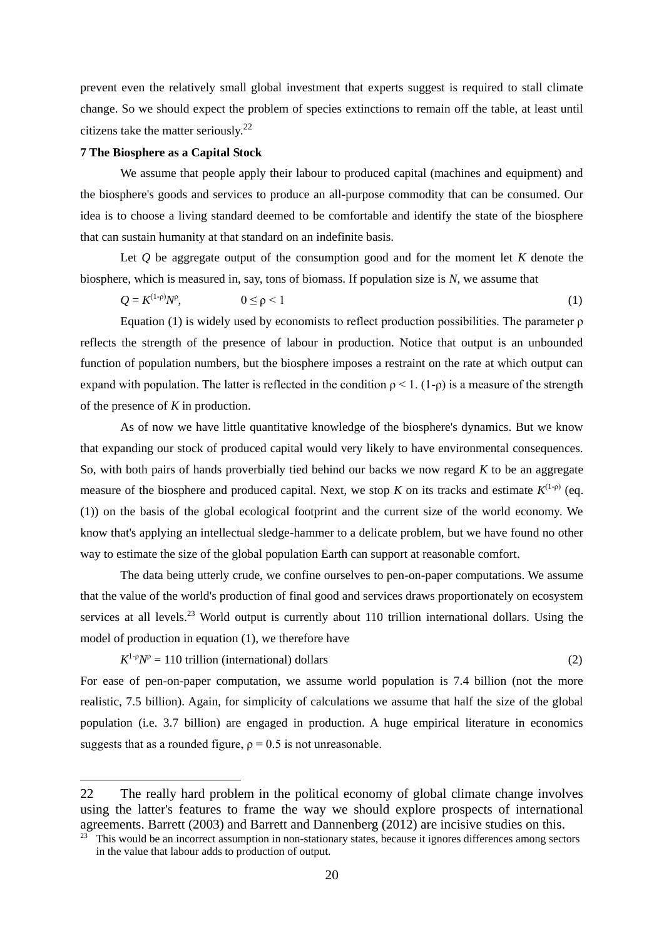prevent even the relatively small global investment that experts suggest is required to stall climate change. So we should expect the problem of species extinctions to remain off the table, at least until citizens take the matter seriously.<sup>22</sup>

## **7 The Biosphere as a Capital Stock**

We assume that people apply their labour to produced capital (machines and equipment) and the biosphere's goods and services to produce an all-purpose commodity that can be consumed. Our idea is to choose a living standard deemed to be comfortable and identify the state of the biosphere that can sustain humanity at that standard on an indefinite basis.

Let *Q* be aggregate output of the consumption good and for the moment let *K* denote the biosphere, which is measured in, say, tons of biomass. If population size is *N*, we assume that

$$
Q = K^{(1-\rho)}N^{\rho}, \qquad \qquad 0 \le \rho < 1 \tag{1}
$$

Equation (1) is widely used by economists to reflect production possibilities. The parameter  $\rho$ reflects the strength of the presence of labour in production. Notice that output is an unbounded function of population numbers, but the biosphere imposes a restraint on the rate at which output can expand with population. The latter is reflected in the condition  $\rho < 1$ . (1- $\rho$ ) is a measure of the strength of the presence of *K* in production.

As of now we have little quantitative knowledge of the biosphere's dynamics. But we know that expanding our stock of produced capital would very likely to have environmental consequences. So, with both pairs of hands proverbially tied behind our backs we now regard *K* to be an aggregate measure of the biosphere and produced capital. Next, we stop *K* on its tracks and estimate  $K^{(1-p)}$  (eq. (1)) on the basis of the global ecological footprint and the current size of the world economy. We know that's applying an intellectual sledge-hammer to a delicate problem, but we have found no other way to estimate the size of the global population Earth can support at reasonable comfort.

The data being utterly crude, we confine ourselves to pen-on-paper computations. We assume that the value of the world's production of final good and services draws proportionately on ecosystem services at all levels.<sup>23</sup> World output is currently about 110 trillion international dollars. Using the model of production in equation (1), we therefore have

 $K^{1-p}N^p = 110$  trillion (international) dollars (2)

<u>.</u>

For ease of pen-on-paper computation, we assume world population is 7.4 billion (not the more realistic, 7.5 billion). Again, for simplicity of calculations we assume that half the size of the global population (i.e. 3.7 billion) are engaged in production. A huge empirical literature in economics suggests that as a rounded figure,  $\rho = 0.5$  is not unreasonable.

<sup>22</sup> The really hard problem in the political economy of global climate change involves using the latter's features to frame the way we should explore prospects of international agreements. Barrett (2003) and Barrett and Dannenberg (2012) are incisive studies on this.

 $23$  This would be an incorrect assumption in non-stationary states, because it ignores differences among sectors in the value that labour adds to production of output.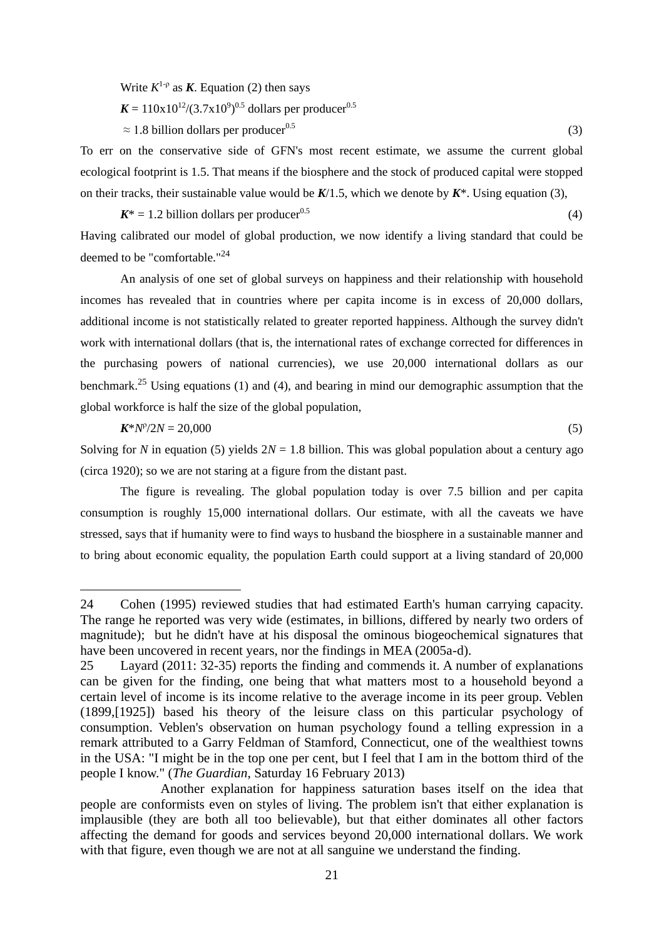Write  $K^{1-\rho}$  as **K**. Equation (2) then says

 $K = 110 \times 10^{12} / (3.7 \times 10^9)^{0.5}$  dollars per producer<sup>0.5</sup>

 $\approx$  1.8 billion dollars per producer<sup>0.5</sup>

deemed to be "comfortable."<sup>24</sup>

<u>.</u>

To err on the conservative side of GFN's most recent estimate, we assume the current global ecological footprint is 1.5. That means if the biosphere and the stock of produced capital were stopped on their tracks, their sustainable value would be  $K/1.5$ , which we denote by  $K^*$ . Using equation (3),

(3)

 $K^* = 1.2$  billion dollars per producer<sup>0.5</sup> (4) Having calibrated our model of global production, we now identify a living standard that could be

An analysis of one set of global surveys on happiness and their relationship with household incomes has revealed that in countries where per capita income is in excess of 20,000 dollars, additional income is not statistically related to greater reported happiness. Although the survey didn't work with international dollars (that is, the international rates of exchange corrected for differences in the purchasing powers of national currencies), we use 20,000 international dollars as our benchmark.<sup>25</sup> Using equations (1) and (4), and bearing in mind our demographic assumption that the global workforce is half the size of the global population,

$$
K^*N^p/2N = 20,000\tag{5}
$$

Solving for *N* in equation (5) yields  $2N = 1.8$  billion. This was global population about a century ago (circa 1920); so we are not staring at a figure from the distant past.

The figure is revealing. The global population today is over 7.5 billion and per capita consumption is roughly 15,000 international dollars. Our estimate, with all the caveats we have stressed, says that if humanity were to find ways to husband the biosphere in a sustainable manner and to bring about economic equality, the population Earth could support at a living standard of 20,000

<sup>24</sup> Cohen (1995) reviewed studies that had estimated Earth's human carrying capacity. The range he reported was very wide (estimates, in billions, differed by nearly two orders of magnitude); but he didn't have at his disposal the ominous biogeochemical signatures that have been uncovered in recent years, nor the findings in MEA (2005a-d).

<sup>25</sup> Layard (2011: 32-35) reports the finding and commends it. A number of explanations can be given for the finding, one being that what matters most to a household beyond a certain level of income is its income relative to the average income in its peer group. Veblen (1899,[1925]) based his theory of the leisure class on this particular psychology of consumption. Veblen's observation on human psychology found a telling expression in a remark attributed to a Garry Feldman of Stamford, Connecticut, one of the wealthiest towns in the USA: "I might be in the top one per cent, but I feel that I am in the bottom third of the people I know." (*The Guardian*, Saturday 16 February 2013)

Another explanation for happiness saturation bases itself on the idea that people are conformists even on styles of living. The problem isn't that either explanation is implausible (they are both all too believable), but that either dominates all other factors affecting the demand for goods and services beyond 20,000 international dollars. We work with that figure, even though we are not at all sanguine we understand the finding.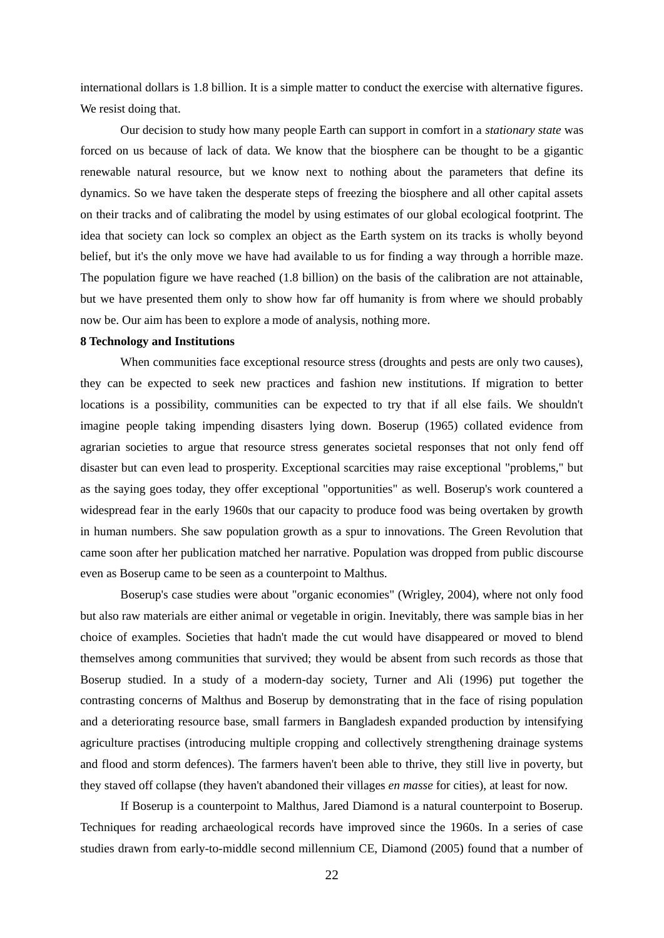international dollars is 1.8 billion. It is a simple matter to conduct the exercise with alternative figures. We resist doing that.

Our decision to study how many people Earth can support in comfort in a *stationary state* was forced on us because of lack of data. We know that the biosphere can be thought to be a gigantic renewable natural resource, but we know next to nothing about the parameters that define its dynamics. So we have taken the desperate steps of freezing the biosphere and all other capital assets on their tracks and of calibrating the model by using estimates of our global ecological footprint. The idea that society can lock so complex an object as the Earth system on its tracks is wholly beyond belief, but it's the only move we have had available to us for finding a way through a horrible maze. The population figure we have reached (1.8 billion) on the basis of the calibration are not attainable, but we have presented them only to show how far off humanity is from where we should probably now be. Our aim has been to explore a mode of analysis, nothing more.

#### **8 Technology and Institutions**

When communities face exceptional resource stress (droughts and pests are only two causes), they can be expected to seek new practices and fashion new institutions. If migration to better locations is a possibility, communities can be expected to try that if all else fails. We shouldn't imagine people taking impending disasters lying down. Boserup (1965) collated evidence from agrarian societies to argue that resource stress generates societal responses that not only fend off disaster but can even lead to prosperity. Exceptional scarcities may raise exceptional "problems," but as the saying goes today, they offer exceptional "opportunities" as well. Boserup's work countered a widespread fear in the early 1960s that our capacity to produce food was being overtaken by growth in human numbers. She saw population growth as a spur to innovations. The Green Revolution that came soon after her publication matched her narrative. Population was dropped from public discourse even as Boserup came to be seen as a counterpoint to Malthus.

Boserup's case studies were about "organic economies" (Wrigley, 2004), where not only food but also raw materials are either animal or vegetable in origin. Inevitably, there was sample bias in her choice of examples. Societies that hadn't made the cut would have disappeared or moved to blend themselves among communities that survived; they would be absent from such records as those that Boserup studied. In a study of a modern-day society, Turner and Ali (1996) put together the contrasting concerns of Malthus and Boserup by demonstrating that in the face of rising population and a deteriorating resource base, small farmers in Bangladesh expanded production by intensifying agriculture practises (introducing multiple cropping and collectively strengthening drainage systems and flood and storm defences). The farmers haven't been able to thrive, they still live in poverty, but they staved off collapse (they haven't abandoned their villages *en masse* for cities), at least for now.

If Boserup is a counterpoint to Malthus, Jared Diamond is a natural counterpoint to Boserup. Techniques for reading archaeological records have improved since the 1960s. In a series of case studies drawn from early-to-middle second millennium CE, Diamond (2005) found that a number of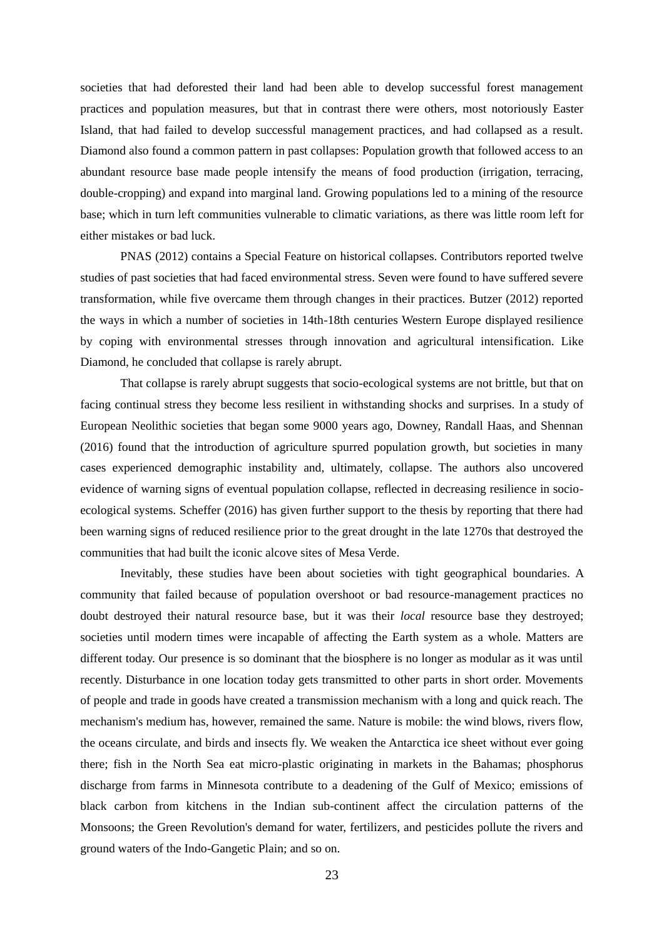societies that had deforested their land had been able to develop successful forest management practices and population measures, but that in contrast there were others, most notoriously Easter Island, that had failed to develop successful management practices, and had collapsed as a result. Diamond also found a common pattern in past collapses: Population growth that followed access to an abundant resource base made people intensify the means of food production (irrigation, terracing, double-cropping) and expand into marginal land. Growing populations led to a mining of the resource base; which in turn left communities vulnerable to climatic variations, as there was little room left for either mistakes or bad luck.

PNAS (2012) contains a Special Feature on historical collapses. Contributors reported twelve studies of past societies that had faced environmental stress. Seven were found to have suffered severe transformation, while five overcame them through changes in their practices. Butzer (2012) reported the ways in which a number of societies in 14th-18th centuries Western Europe displayed resilience by coping with environmental stresses through innovation and agricultural intensification. Like Diamond, he concluded that collapse is rarely abrupt.

That collapse is rarely abrupt suggests that socio-ecological systems are not brittle, but that on facing continual stress they become less resilient in withstanding shocks and surprises. In a study of European Neolithic societies that began some 9000 years ago, Downey, Randall Haas, and Shennan (2016) found that the introduction of agriculture spurred population growth, but societies in many cases experienced demographic instability and, ultimately, collapse. The authors also uncovered evidence of warning signs of eventual population collapse, reflected in decreasing resilience in socioecological systems. Scheffer (2016) has given further support to the thesis by reporting that there had been warning signs of reduced resilience prior to the great drought in the late 1270s that destroyed the communities that had built the iconic alcove sites of Mesa Verde.

Inevitably, these studies have been about societies with tight geographical boundaries. A community that failed because of population overshoot or bad resource-management practices no doubt destroyed their natural resource base, but it was their *local* resource base they destroyed; societies until modern times were incapable of affecting the Earth system as a whole. Matters are different today. Our presence is so dominant that the biosphere is no longer as modular as it was until recently. Disturbance in one location today gets transmitted to other parts in short order. Movements of people and trade in goods have created a transmission mechanism with a long and quick reach. The mechanism's medium has, however, remained the same. Nature is mobile: the wind blows, rivers flow, the oceans circulate, and birds and insects fly. We weaken the Antarctica ice sheet without ever going there; fish in the North Sea eat micro-plastic originating in markets in the Bahamas; phosphorus discharge from farms in Minnesota contribute to a deadening of the Gulf of Mexico; emissions of black carbon from kitchens in the Indian sub-continent affect the circulation patterns of the Monsoons; the Green Revolution's demand for water, fertilizers, and pesticides pollute the rivers and ground waters of the Indo-Gangetic Plain; and so on.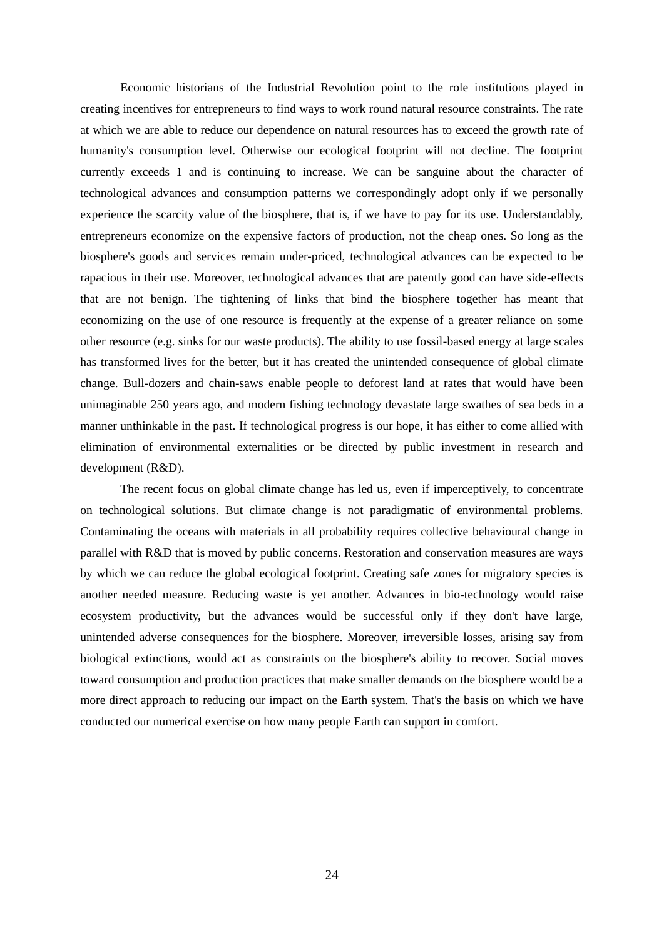Economic historians of the Industrial Revolution point to the role institutions played in creating incentives for entrepreneurs to find ways to work round natural resource constraints. The rate at which we are able to reduce our dependence on natural resources has to exceed the growth rate of humanity's consumption level. Otherwise our ecological footprint will not decline. The footprint currently exceeds 1 and is continuing to increase. We can be sanguine about the character of technological advances and consumption patterns we correspondingly adopt only if we personally experience the scarcity value of the biosphere, that is, if we have to pay for its use. Understandably, entrepreneurs economize on the expensive factors of production, not the cheap ones. So long as the biosphere's goods and services remain under-priced, technological advances can be expected to be rapacious in their use. Moreover, technological advances that are patently good can have side-effects that are not benign. The tightening of links that bind the biosphere together has meant that economizing on the use of one resource is frequently at the expense of a greater reliance on some other resource (e.g. sinks for our waste products). The ability to use fossil-based energy at large scales has transformed lives for the better, but it has created the unintended consequence of global climate change. Bull-dozers and chain-saws enable people to deforest land at rates that would have been unimaginable 250 years ago, and modern fishing technology devastate large swathes of sea beds in a manner unthinkable in the past. If technological progress is our hope, it has either to come allied with elimination of environmental externalities or be directed by public investment in research and development (R&D).

The recent focus on global climate change has led us, even if imperceptively, to concentrate on technological solutions. But climate change is not paradigmatic of environmental problems. Contaminating the oceans with materials in all probability requires collective behavioural change in parallel with R&D that is moved by public concerns. Restoration and conservation measures are ways by which we can reduce the global ecological footprint. Creating safe zones for migratory species is another needed measure. Reducing waste is yet another. Advances in bio-technology would raise ecosystem productivity, but the advances would be successful only if they don't have large, unintended adverse consequences for the biosphere. Moreover, irreversible losses, arising say from biological extinctions, would act as constraints on the biosphere's ability to recover. Social moves toward consumption and production practices that make smaller demands on the biosphere would be a more direct approach to reducing our impact on the Earth system. That's the basis on which we have conducted our numerical exercise on how many people Earth can support in comfort.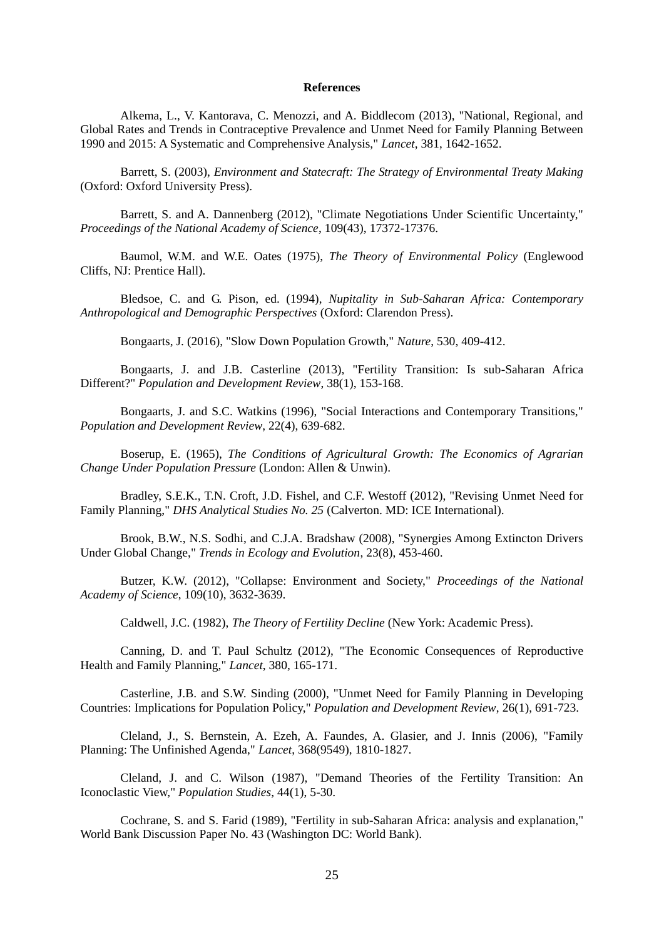#### **References**

Alkema, L., V. Kantorava, C. Menozzi, and A. Biddlecom (2013), "National, Regional, and Global Rates and Trends in Contraceptive Prevalence and Unmet Need for Family Planning Between 1990 and 2015: A Systematic and Comprehensive Analysis," *Lancet*, 381, 1642-1652.

Barrett, S. (2003), *Environment and Statecraft: The Strategy of Environmental Treaty Making* (Oxford: Oxford University Press).

Barrett, S. and A. Dannenberg (2012), "Climate Negotiations Under Scientific Uncertainty," *Proceedings of the National Academy of Science*, 109(43), 17372-17376.

Baumol, W.M. and W.E. Oates (1975), *The Theory of Environmental Policy* (Englewood Cliffs, NJ: Prentice Hall).

Bledsoe, C. and G. Pison, ed. (1994), *Nupitality in Sub-Saharan Africa: Contemporary Anthropological and Demographic Perspectives* (Oxford: Clarendon Press).

Bongaarts, J. (2016), "Slow Down Population Growth," *Nature*, 530, 409-412.

Bongaarts, J. and J.B. Casterline (2013), "Fertility Transition: Is sub-Saharan Africa Different?" *Population and Development Review*, 38(1), 153-168.

Bongaarts, J. and S.C. Watkins (1996), "Social Interactions and Contemporary Transitions," *Population and Development Review*, 22(4), 639-682.

Boserup, E. (1965), *The Conditions of Agricultural Growth: The Economics of Agrarian Change Under Population Pressure* (London: Allen & Unwin).

Bradley, S.E.K., T.N. Croft, J.D. Fishel, and C.F. Westoff (2012), "Revising Unmet Need for Family Planning," *DHS Analytical Studies No. 25* (Calverton. MD: ICE International).

Brook, B.W., N.S. Sodhi, and C.J.A. Bradshaw (2008), "Synergies Among Extincton Drivers Under Global Change," *Trends in Ecology and Evolution*, 23(8), 453-460.

Butzer, K.W. (2012), "Collapse: Environment and Society," *Proceedings of the National Academy of Science*, 109(10), 3632-3639.

Caldwell, J.C. (1982), *The Theory of Fertility Decline* (New York: Academic Press).

Canning, D. and T. Paul Schultz (2012), "The Economic Consequences of Reproductive Health and Family Planning," *Lancet*, 380, 165-171.

Casterline, J.B. and S.W. Sinding (2000), "Unmet Need for Family Planning in Developing Countries: Implications for Population Policy," *Population and Development Review*, 26(1), 691-723.

Cleland, J., S. Bernstein, A. Ezeh, A. Faundes, A. Glasier, and J. Innis (2006), "Family Planning: The Unfinished Agenda," *Lancet*, 368(9549), 1810-1827.

Cleland, J. and C. Wilson (1987), "Demand Theories of the Fertility Transition: An Iconoclastic View," *Population Studies*, 44(1), 5-30.

Cochrane, S. and S. Farid (1989), "Fertility in sub-Saharan Africa: analysis and explanation," World Bank Discussion Paper No. 43 (Washington DC: World Bank).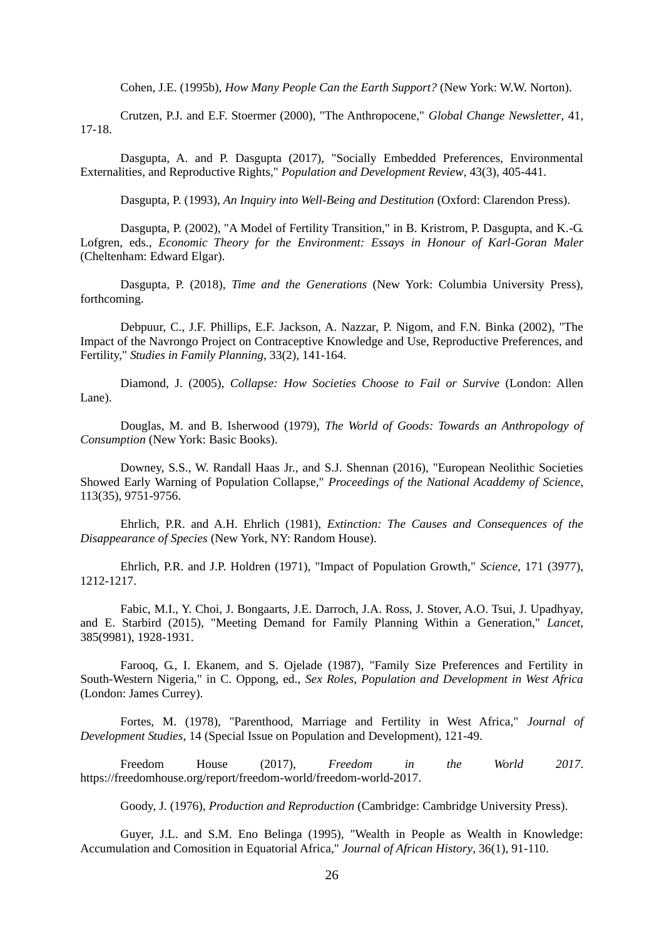Cohen, J.E. (1995b), *How Many People Can the Earth Support?* (New York: W.W. Norton).

Crutzen, P.J. and E.F. Stoermer (2000), "The Anthropocene," *Global Change Newsletter*, 41, 17-18.

Dasgupta, A. and P. Dasgupta (2017), "Socially Embedded Preferences, Environmental Externalities, and Reproductive Rights," *Population and Development Review*, 43(3), 405-441.

Dasgupta, P. (1993), *An Inquiry into Well-Being and Destitution* (Oxford: Clarendon Press).

Dasgupta, P. (2002), "A Model of Fertility Transition," in B. Kristrom, P. Dasgupta, and K.-G. Lofgren, eds., *Economic Theory for the Environment: Essays in Honour of Karl-Goran Maler* (Cheltenham: Edward Elgar).

Dasgupta, P. (2018), *Time and the Generations* (New York: Columbia University Press), forthcoming.

Debpuur, C., J.F. Phillips, E.F. Jackson, A. Nazzar, P. Nigom, and F.N. Binka (2002), "The Impact of the Navrongo Project on Contraceptive Knowledge and Use, Reproductive Preferences, and Fertility," *Studies in Family Planning*, 33(2), 141-164.

Diamond, J. (2005), *Collapse: How Societies Choose to Fail or Survive* (London: Allen Lane).

Douglas, M. and B. Isherwood (1979), *The World of Goods: Towards an Anthropology of Consumption* (New York: Basic Books).

Downey, S.S., W. Randall Haas Jr., and S.J. Shennan (2016), "European Neolithic Societies Showed Early Warning of Population Collapse," *Proceedings of the National Acaddemy of Science*, 113(35), 9751-9756.

Ehrlich, P.R. and A.H. Ehrlich (1981), *Extinction: The Causes and Consequences of the Disappearance of Species* (New York, NY: Random House).

Ehrlich, P.R. and J.P. Holdren (1971), "Impact of Population Growth," *Science*, 171 (3977), 1212-1217.

Fabic, M.I., Y. Choi, J. Bongaarts, J.E. Darroch, J.A. Ross, J. Stover, A.O. Tsui, J. Upadhyay, and E. Starbird (2015), "Meeting Demand for Family Planning Within a Generation," *Lancet*, 385(9981), 1928-1931.

Farooq, G., I. Ekanem, and S. Ojelade (1987), "Family Size Preferences and Fertility in South-Western Nigeria," in C. Oppong, ed., *Sex Roles, Population and Development in West Africa* (London: James Currey).

Fortes, M. (1978), "Parenthood, Marriage and Fertility in West Africa," *Journal of Development Studies*, 14 (Special Issue on Population and Development), 121-49.

Freedom House (2017), *Freedom in the World 2017*. https://freedomhouse.org/report/freedom-world/freedom-world-2017.

Goody, J. (1976), *Production and Reproduction* (Cambridge: Cambridge University Press).

Guyer, J.L. and S.M. Eno Belinga (1995), "Wealth in People as Wealth in Knowledge: Accumulation and Comosition in Equatorial Africa," *Journal of African History*, 36(1), 91-110.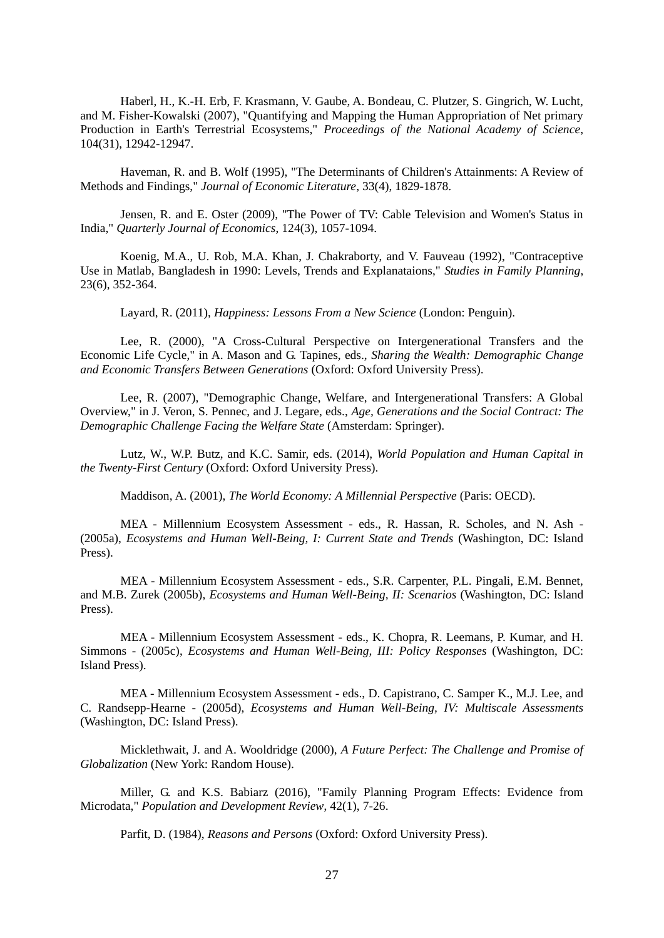Haberl, H., K.-H. Erb, F. Krasmann, V. Gaube, A. Bondeau, C. Plutzer, S. Gingrich, W. Lucht, and M. Fisher-Kowalski (2007), "Quantifying and Mapping the Human Appropriation of Net primary Production in Earth's Terrestrial Ecosystems," *Proceedings of the National Academy of Science*, 104(31), 12942-12947.

Haveman, R. and B. Wolf (1995), "The Determinants of Children's Attainments: A Review of Methods and Findings," *Journal of Economic Literature*, 33(4), 1829-1878.

Jensen, R. and E. Oster (2009), "The Power of TV: Cable Television and Women's Status in India," *Quarterly Journal of Economics*, 124(3), 1057-1094.

Koenig, M.A., U. Rob, M.A. Khan, J. Chakraborty, and V. Fauveau (1992), "Contraceptive Use in Matlab, Bangladesh in 1990: Levels, Trends and Explanataions," *Studies in Family Planning*, 23(6), 352-364.

Layard, R. (2011), *Happiness: Lessons From a New Science* (London: Penguin).

Lee, R. (2000), "A Cross-Cultural Perspective on Intergenerational Transfers and the Economic Life Cycle," in A. Mason and G. Tapines, eds., *Sharing the Wealth: Demographic Change and Economic Transfers Between Generations* (Oxford: Oxford University Press).

Lee, R. (2007), "Demographic Change, Welfare, and Intergenerational Transfers: A Global Overview," in J. Veron, S. Pennec, and J. Legare, eds., *Age, Generations and the Social Contract: The Demographic Challenge Facing the Welfare State* (Amsterdam: Springer).

Lutz, W., W.P. Butz, and K.C. Samir, eds. (2014), *World Population and Human Capital in the Twenty-First Century* (Oxford: Oxford University Press).

Maddison, A. (2001), *The World Economy: A Millennial Perspective* (Paris: OECD).

MEA - Millennium Ecosystem Assessment - eds., R. Hassan, R. Scholes, and N. Ash - (2005a), *Ecosystems and Human Well-Being, I: Current State and Trends* (Washington, DC: Island Press).

MEA - Millennium Ecosystem Assessment - eds., S.R. Carpenter, P.L. Pingali, E.M. Bennet, and M.B. Zurek (2005b), *Ecosystems and Human Well-Being, II: Scenarios* (Washington, DC: Island Press).

MEA - Millennium Ecosystem Assessment - eds., K. Chopra, R. Leemans, P. Kumar, and H. Simmons - (2005c), *Ecosystems and Human Well-Being, III: Policy Responses* (Washington, DC: Island Press).

MEA - Millennium Ecosystem Assessment - eds., D. Capistrano, C. Samper K., M.J. Lee, and C. Randsepp-Hearne - (2005d), *Ecosystems and Human Well-Being, IV: Multiscale Assessments* (Washington, DC: Island Press).

Micklethwait, J. and A. Wooldridge (2000), *A Future Perfect: The Challenge and Promise of Globalization* (New York: Random House).

Miller, G. and K.S. Babiarz (2016), "Family Planning Program Effects: Evidence from Microdata," *Population and Development Review*, 42(1), 7-26.

Parfit, D. (1984), *Reasons and Persons* (Oxford: Oxford University Press).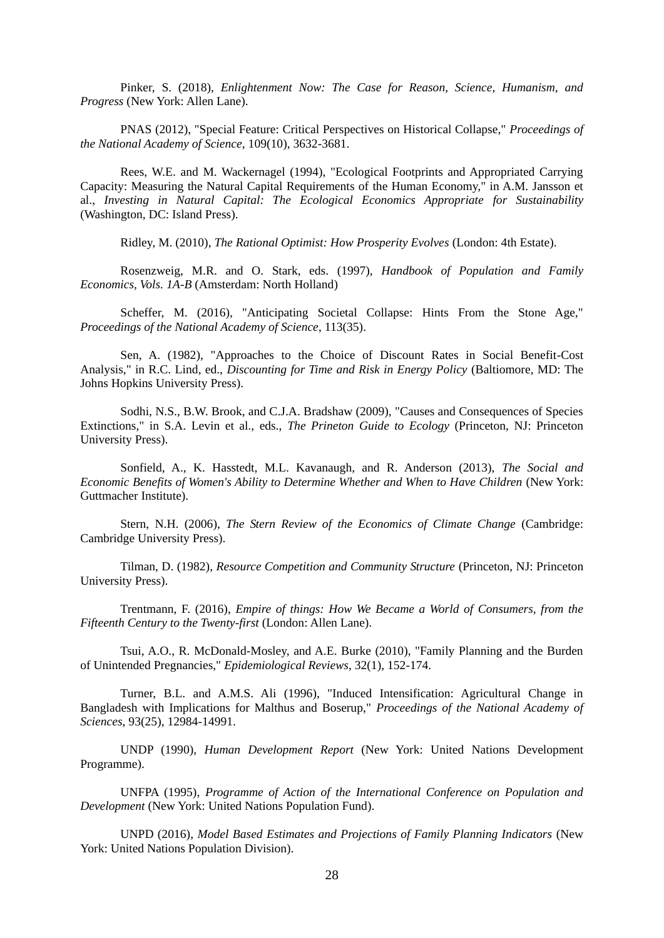Pinker, S. (2018), *Enlightenment Now: The Case for Reason, Science, Humanism, and Progress* (New York: Allen Lane).

PNAS (2012), "Special Feature: Critical Perspectives on Historical Collapse," *Proceedings of the National Academy of Science*, 109(10), 3632-3681.

Rees, W.E. and M. Wackernagel (1994), "Ecological Footprints and Appropriated Carrying Capacity: Measuring the Natural Capital Requirements of the Human Economy," in A.M. Jansson et al., *Investing in Natural Capital: The Ecological Economics Appropriate for Sustainability* (Washington, DC: Island Press).

Ridley, M. (2010), *The Rational Optimist: How Prosperity Evolves* (London: 4th Estate).

Rosenzweig, M.R. and O. Stark, eds. (1997), *Handbook of Population and Family Economics, Vols. 1A-B* (Amsterdam: North Holland)

Scheffer, M. (2016), "Anticipating Societal Collapse: Hints From the Stone Age," *Proceedings of the National Academy of Science*, 113(35).

Sen, A. (1982), "Approaches to the Choice of Discount Rates in Social Benefit-Cost Analysis," in R.C. Lind, ed., *Discounting for Time and Risk in Energy Policy* (Baltiomore, MD: The Johns Hopkins University Press).

Sodhi, N.S., B.W. Brook, and C.J.A. Bradshaw (2009), "Causes and Consequences of Species Extinctions," in S.A. Levin et al., eds., *The Prineton Guide to Ecology* (Princeton, NJ: Princeton University Press).

Sonfield, A., K. Hasstedt, M.L. Kavanaugh, and R. Anderson (2013), *The Social and Economic Benefits of Women's Ability to Determine Whether and When to Have Children* (New York: Guttmacher Institute).

Stern, N.H. (2006), *The Stern Review of the Economics of Climate Change* (Cambridge: Cambridge University Press).

Tilman, D. (1982), *Resource Competition and Community Structure* (Princeton, NJ: Princeton University Press).

Trentmann, F. (2016), *Empire of things: How We Became a World of Consumers, from the Fifteenth Century to the Twenty-first* (London: Allen Lane).

Tsui, A.O., R. McDonald-Mosley, and A.E. Burke (2010), "Family Planning and the Burden of Unintended Pregnancies," *Epidemiological Reviews*, 32(1), 152-174.

Turner, B.L. and A.M.S. Ali (1996), "Induced Intensification: Agricultural Change in Bangladesh with Implications for Malthus and Boserup," *Proceedings of the National Academy of Sciences*, 93(25), 12984-14991.

UNDP (1990), *Human Development Report* (New York: United Nations Development Programme).

UNFPA (1995), *Programme of Action of the International Conference on Population and Development* (New York: United Nations Population Fund).

UNPD (2016), *Model Based Estimates and Projections of Family Planning Indicators* (New York: United Nations Population Division).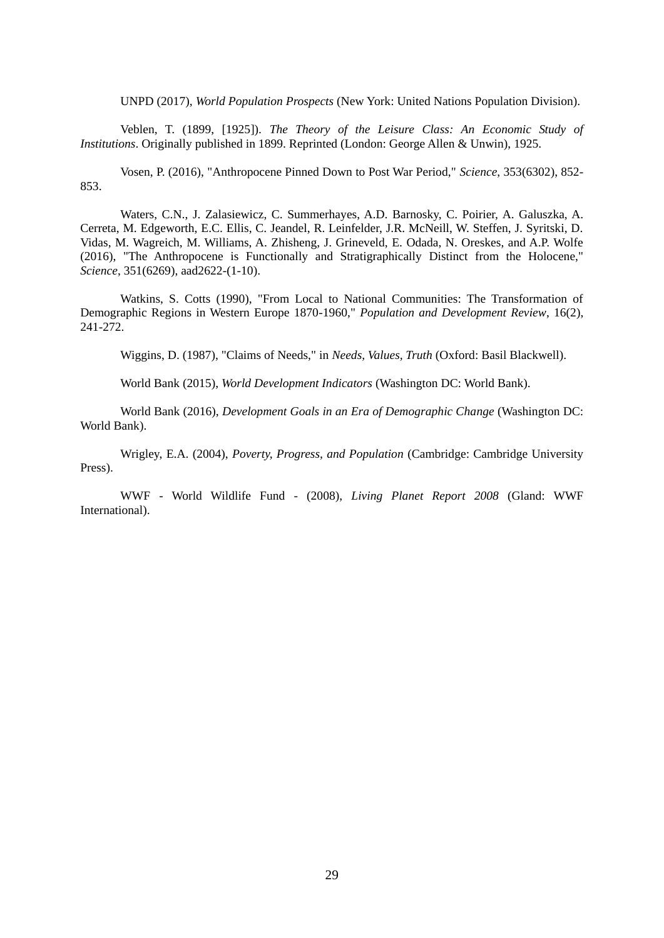UNPD (2017), *World Population Prospects* (New York: United Nations Population Division).

Veblen, T. (1899, [1925]). *The Theory of the Leisure Class: An Economic Study of Institutions*. Originally published in 1899. Reprinted (London: George Allen & Unwin), 1925.

Vosen, P. (2016), "Anthropocene Pinned Down to Post War Period," *Science*, 353(6302), 852- 853.

Waters, C.N., J. Zalasiewicz, C. Summerhayes, A.D. Barnosky, C. Poirier, A. Galuszka, A. Cerreta, M. Edgeworth, E.C. Ellis, C. Jeandel, R. Leinfelder, J.R. McNeill, W. Steffen, J. Syritski, D. Vidas, M. Wagreich, M. Williams, A. Zhisheng, J. Grineveld, E. Odada, N. Oreskes, and A.P. Wolfe (2016), "The Anthropocene is Functionally and Stratigraphically Distinct from the Holocene," *Science*, 351(6269), aad2622-(1-10).

Watkins, S. Cotts (1990), "From Local to National Communities: The Transformation of Demographic Regions in Western Europe 1870-1960," *Population and Development Review*, 16(2), 241-272.

Wiggins, D. (1987), "Claims of Needs," in *Needs, Values, Truth* (Oxford: Basil Blackwell).

World Bank (2015), *World Development Indicators* (Washington DC: World Bank).

World Bank (2016), *Development Goals in an Era of Demographic Change* (Washington DC: World Bank).

Wrigley, E.A. (2004), *Poverty, Progress, and Population* (Cambridge: Cambridge University Press).

WWF - World Wildlife Fund - (2008), *Living Planet Report 2008* (Gland: WWF International).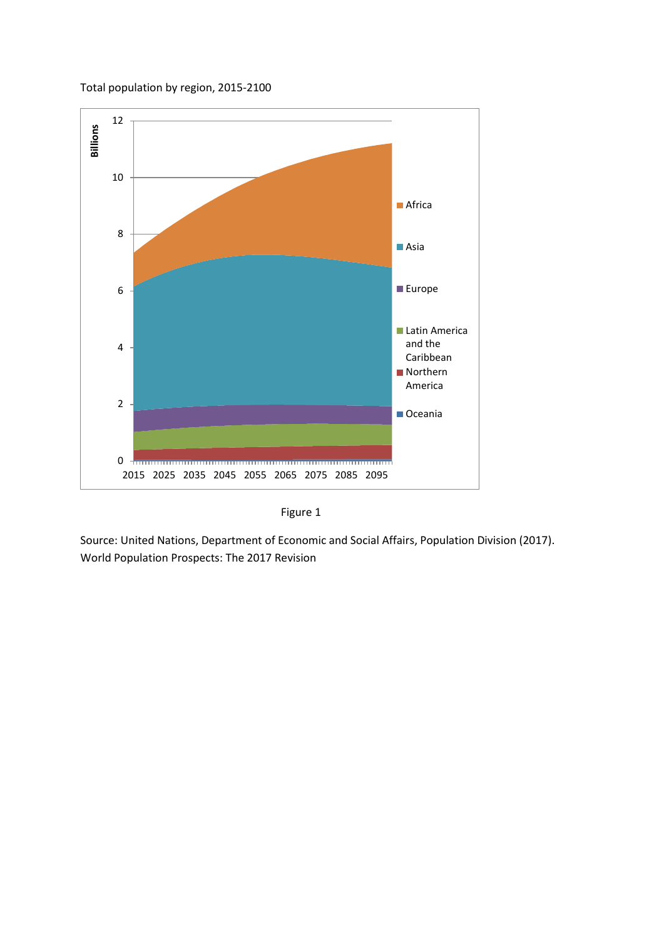Total population by region, 2015-2100



Figure 1

Source: United Nations, Department of Economic and Social Affairs, Population Division (2017). World Population Prospects: The 2017 Revision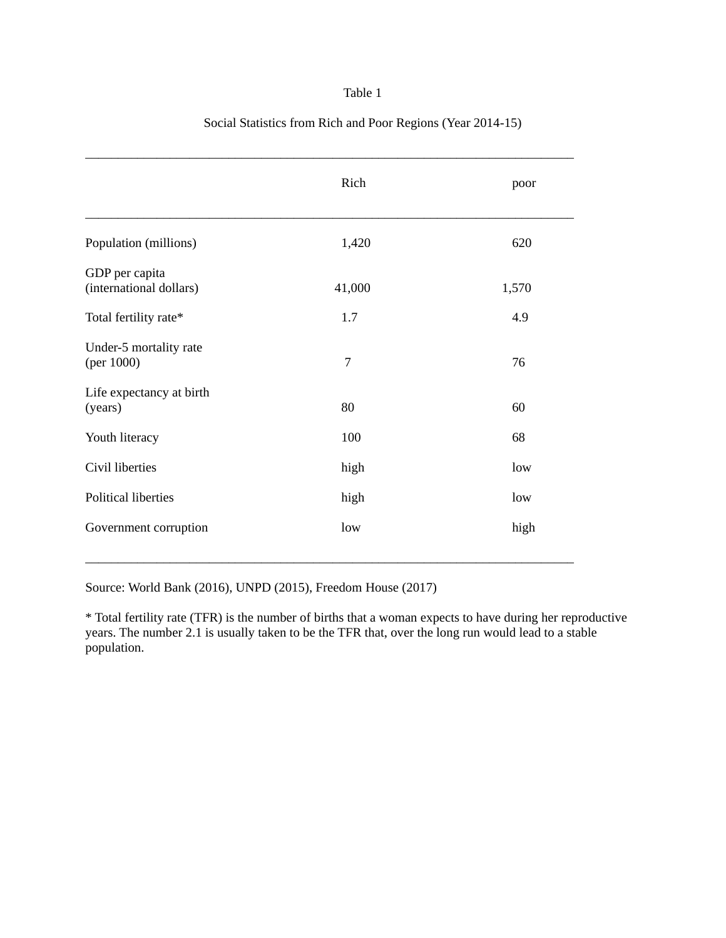## Table 1

|                                           | Rich           | poor  |
|-------------------------------------------|----------------|-------|
| Population (millions)                     | 1,420          | 620   |
| GDP per capita<br>(international dollars) | 41,000         | 1,570 |
| Total fertility rate*                     | 1.7            | 4.9   |
| Under-5 mortality rate<br>(per 1000)      | $\overline{7}$ | 76    |
| Life expectancy at birth<br>(years)       | 80             | 60    |
| Youth literacy                            | 100            | 68    |
| Civil liberties                           | high           | low   |
| Political liberties                       | high           | low   |
| Government corruption                     | low            | high  |

## Social Statistics from Rich and Poor Regions (Year 2014-15)

Source: World Bank (2016), UNPD (2015), Freedom House (2017)

\* Total fertility rate (TFR) is the number of births that a woman expects to have during her reproductive years. The number 2.1 is usually taken to be the TFR that, over the long run would lead to a stable population.